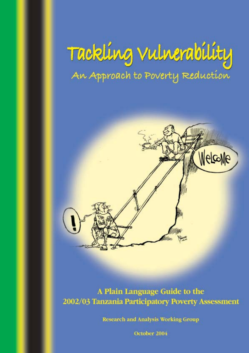# Tackling Vulnerability An Approach to Poverty Reduction



## A Plain Language Guide to the 2002/03 Tanzania Participatory Poverty Assessment

**Research and Analysis Working Group** 

October 2004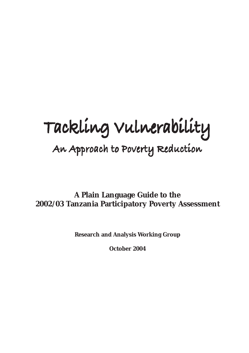# **Tackling Vulnerability Tackling Vulnerability**

## **An Approach to Poverty Reduction An Approach to Poverty Reduction**

**A Plain Language Guide to the 2002/03 Tanzania Participatory Poverty Assessment**

**Research and Analysis Working Group**

**October 2004**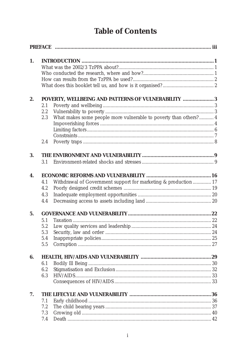## **Table of Contents**

| 1. |     |                                                                   |  |
|----|-----|-------------------------------------------------------------------|--|
|    |     |                                                                   |  |
|    |     |                                                                   |  |
|    |     |                                                                   |  |
|    |     |                                                                   |  |
| 2. |     | POVERTY, WELLBEING AND PATTERNS OF VULNERABILITY 3                |  |
|    | 2.1 |                                                                   |  |
|    | 2.2 |                                                                   |  |
|    | 2.3 | What makes some people more vulnerable to poverty than others?  4 |  |
|    |     |                                                                   |  |
|    |     |                                                                   |  |
|    | 2.4 |                                                                   |  |
|    |     |                                                                   |  |
| 3. |     |                                                                   |  |
|    | 3.1 |                                                                   |  |
| 4. |     |                                                                   |  |
|    | 4.1 | Withdrawal of Government support for marketing & production 17    |  |
|    | 4.2 |                                                                   |  |
|    | 4.3 |                                                                   |  |
|    | 4.4 |                                                                   |  |
| 5. |     |                                                                   |  |
|    | 5.1 |                                                                   |  |
|    | 5.2 |                                                                   |  |
|    | 5.3 |                                                                   |  |
|    | 5.4 |                                                                   |  |
|    | 5.5 |                                                                   |  |
| 6. |     |                                                                   |  |
|    | 6.1 |                                                                   |  |
|    | 6.2 |                                                                   |  |
|    | 6.3 |                                                                   |  |
|    |     |                                                                   |  |
| 7. |     |                                                                   |  |
|    | 7.1 |                                                                   |  |
|    | 7.2 |                                                                   |  |
|    | 7.3 |                                                                   |  |
|    | 7.4 |                                                                   |  |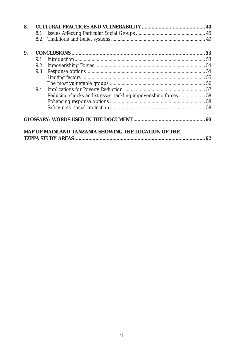| 8. |     |                                                                 |    |
|----|-----|-----------------------------------------------------------------|----|
|    | 8.1 |                                                                 |    |
|    | 8.2 |                                                                 |    |
| 9. |     |                                                                 |    |
|    | 91  |                                                                 |    |
|    | 9.2 |                                                                 |    |
|    | 9.3 |                                                                 |    |
|    |     |                                                                 |    |
|    |     |                                                                 |    |
|    | 9.4 |                                                                 |    |
|    |     | Reducing shocks and stresses: tackling impoverishing forces  58 |    |
|    |     |                                                                 |    |
|    |     |                                                                 |    |
|    |     |                                                                 |    |
|    |     | MAP OF MAINLAND TANZANIA SHOWING THE LOCATION OF THE            | 62 |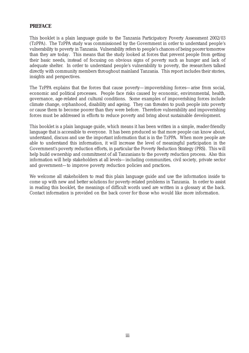#### **PREFACE**

This booklet is a plain language guide to the Tanzania Participatory Poverty Assessment 2002/03 (TzPPA). The TzPPA study was commissioned by the Government in order to understand people's vulnerability to poverty in Tanzania. Vulnerability refers to people's chances of being poorer tomorrow than they are today. This means that the study looked at forces that prevent people from getting their basic needs, instead of focusing on obvious signs of poverty such as hunger and lack of adequate shelter. In order to understand people's vulnerability to poverty, the researchers talked directly with community members throughout mainland Tanzania. This report includes their stories, insights and perspectives.

The TzPPA explains that the forces that cause poverty—impoverishing forces—arise from social, economic and political processes. People face risks caused by economic, environmental, health, governance, age-related and cultural conditions. Some examples of impoverishing forces include climate change, orphanhood, disability and ageing. They can threaten to push people into poverty or cause them to become poorer than they were before. Therefore vulnerability and impoverishing forces must be addressed in efforts to reduce poverty and bring about sustainable development.

This booklet is a plain language guide, which means it has been written in a simple, reader-friendly language that is accessible to everyone. It has been produced so that more people can know about, understand, discuss and use the important information that is in the TzPPA. When more people are able to understand this information, it will increase the level of meaningful participation in the Government's poverty reduction efforts, in particular the Poverty Reduction Strategy (PRS). This will help build ownership and commitment of all Tanzanians to the poverty reduction process. Also this information will help stakeholders at all levels—including communities, civil society, private sector and government—to improve poverty reduction policies and practices.

We welcome all stakeholders to read this plain language guide and use the information inside to come up with new and better solutions for poverty-related problems in Tanzania. In order to assist in reading this booklet, the meanings of difficult words used are written in a glossary at the back. Contact information is provided on the back cover for those who would like more information.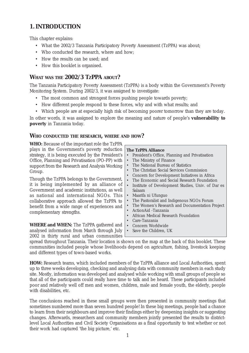#### **1. INTRODUCTION**

This chapter explains:

- What the 2002/3 Tanzania Participatory Poverty Assessment (TzPPA) was about;
- Who conducted the research, where and how;
- How the results can be used; and
- How this booklet is organised.

#### **WHAT WAS THE 2002/3 TZPPA ABOUT?**

The Tanzania Participatory Poverty Assessment (TzPPA) is a body within the Government's Poverty Monitoring System. During 2002/3, it was assigned to investigate:

- The most common and strongest forces pushing people towards poverty;
- How different people respond to these forces, why and with what results; and
- Which people are at especially high risk of becoming poorer tomorrow than they are today.

In other words, it was assigned to explore the meaning and nature of people's **vulnerability to poverty** in Tanzania today.

#### **WHO CONDUCTED THE RESEARCH, WHERE AND HOW?**

**WHO:** Because of the important role the TzPPA plays in the Government's poverty reduction strategy, it is being executed by the President's Office, Planning and Privatisation (PO-PP) with support from the Research and Analysis Working Group.

Though the TzPPA belongs to the Government, it is being implemented by an alliance of Government and academic institutions, as well as national and international NGOs. This collaborative approach allowed the TzPPA to benefit from a wide range of experiences and complementary strengths.

**WHERE and WHEN:** The TzPPA gathered and analysed information from March through July 2002 in thirty rural and urban communities

#### **The TzPPA Alliance**

- President's Office, Planning and Privatisation
- The Ministry of Finance
- The National Bureau of Statistics
- The Christian Social Services Commission
- Concern for Development Initiatives in Africa
- The Economic and Social Research Foundation
- Institute of Development Studies, Univ. of Dar es Salaam
- Maarifa ni Ufunguo
- The Pastoralist and Indigenous NGOs Forum
- The Women's Research and Documentation Project
- ActionAid -Tanzania
- African Medical Research Foundation
- Care-Tanzania
- Concern Worldwide
- Save the Children, UK

spread throughout Tanzania. Their location is shown on the map at the back of this booklet. These communities included people whose livelihoods depend on agriculture, fishing, livestock keeping and different types of town-based works.

**HOW:** Research teams, which included members of the TzPPA alliance and Local Authorities, spent up to three weeks developing, checking and analysing data with community members in each study site. Mostly, information was developed and analysed while working with small groups of people so that all of the participants could really have time to talk and be heard. These participants included poor and relatively well off men and women, children, male and female youth, the elderly, people with disabilities, etc.

The conclusions reached in these small groups were then presented in community meetings that sometimes numbered more than seven hundred people! In these big meetings, people had a chance to learn from their neighbours and improve their findings either by deepening insights or suggesting changes. Afterwards, researchers and community members jointly presented the results to districtlevel Local Authorities and Civil Society Organisations as a final opportunity to test whether or not their work had captured 'the big picture,' etc.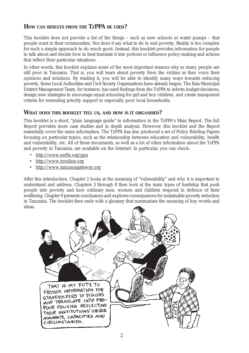#### **HOW CAN RESULTS FROM THE TZPPA BE USED?**

This booklet does not provide a list of the things – such as new schools or water pumps – that people want in their communities. Nor does it say what to do to end poverty. Reality is too complex for such a simple approach to do much good. Instead, this booklet provides information for people to talk about and decide how to best translate it into policies or influence policy-making and actions that reflect their particular situations.

In other words, this booklet explains some of the most important reasons *why* so many people are still poor in Tanzania. That is, you will learn about poverty from the victims as they voice their opinions and solutions. By reading it, you will be able to identify many ways towards reducing poverty. Some Local Authorities and Civil Society Organisations have already begun. The Ilala Municipal District Management Team, for instance, has used findings from the TzPPA to inform budget decisions, design new strategies to encourage equal schooling for girl and boy children, and create transparent criteria for extending priority support to especially poor local households.

#### **WHAT DOES THIS BOOKLET TELL US, AND HOW IS IT ORGANISED?**

This booklet is a short, "plain language guide" to information in the TzPPA's Main Report. The full Report provides more case studies and in depth analysis. However, this booklet and the Report essentially cover the same information. The TzPPA has also produced a set of Policy Briefing Papers focusing on particular topics, such as the relationship between education and vulnerability, health and vulnerability, etc. All of these documents, as well as a lot of other information about the TzPPA and poverty in Tanzania, are available on the Internet. In particular, you can check:

- http://www.esrftz.org/ppa
- http://www.tzonline.org
- http://www.tanzaniagateway.org

After this introduction, Chapter 2 looks at the meaning of "vulnerability" and why it is important to understand and address. Chapters 3 through 8 then look at the main types of hardship that push people into poverty and how ordinary men, women and children respond in defence of their wellbeing. Chapter 9 presents conclusions and explores consequences for sustainable poverty reduction in Tanzania. The booklet then ends with a glossary that summarises the meaning of key words and ideas.

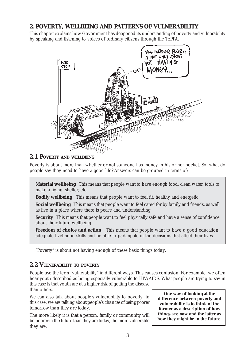#### **2. POVERTY, WELLBEING AND PATTERNS OF VULNERABILITY**

This chapter explains how Government has deepened its understanding of poverty and vulnerability by speaking and listening to voices of ordinary citizens through the TzPPA.



#### **2.1 POVERTY AND WELLBEING**

Poverty is about more than whether or not someone has money in his or her pocket. So, what do people say they need to have a good life? Answers can be grouped in terms of:

**Material wellbeing** This means that people want to have enough food, clean water, tools to make a living, shelter, etc.

**Bodily wellbeing** This means that people want to feel fit, healthy and energetic

**Social wellbeing** This means that people want to feel cared for by family and friends, as well as live in a place where there is peace and understanding

**Security** This means that people want to feel physically safe and have a sense of confidence about their future wellbeing

**Freedom of choice and action** This means that people want to have a good education, adequate livelihood skills and be able to participate in the decisions that affect their lives

"Poverty" is about not having enough of these basic things *today*.

#### **2.2 VULNERABILITY TO POVERTY**

People use the term "vulnerability" in different ways. This causes confusion. For example, we often hear youth described as being especially vulnerable to HIV/AIDS. What people are trying to say in this case is that youth are at a higher risk of getting the disease

than others.

We can also talk about people's vulnerability to poverty. In this case, we are talking about people's *chances of being poorer tomorrow than they are today*.

The more likely it is that a person, family or community will be poorer in the future than they are today, the more vulnerable they are.

**One way of looking at the difference between poverty and vulnerability is to think of the former as a description of how things** *are now* **and the latter as how they** *might be in the future***.**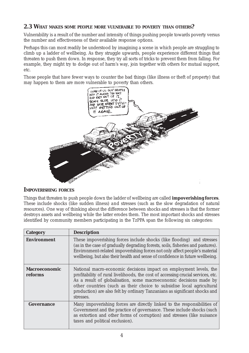#### **2.3 WHAT MAKES SOME PEOPLE MORE VULNERABLE TO POVERTY THAN OTHERS?**

Vulnerability is a result of the number and intensity of things pushing people towards poverty versus the number and effectiveness of their available response options.

Perhaps this can most readily be understood by imagining a scene in which people are struggling to climb up a ladder of wellbeing. As they struggle upwards, people experience different things that threaten to push them down. In response, they try all sorts of tricks to prevent them from falling. For example, they might try to dodge out of harm's way, join together with others for mutual support, etc.

Those people that have fewer ways to counter the bad things (like illness or theft of property) that may happen to them are more vulnerable to poverty than others.



#### **IMPOVERISHING FORCES**

Things that threaten to push people down the ladder of wellbeing are called **impoverishing forces**. These include shocks (like sudden illness) *and* stresses (such as the slow degradation of natural resources). One way of thinking about the difference between shocks and stresses is that the former destroys assets and wellbeing while the latter erodes them. The most important shocks and stresses identified by community members participating in the TzPPA span the following six categories:

| <b>Category</b>                 | <b>Description</b>                                                                                                                                                                                                                                                                                                                                                                               |
|---------------------------------|--------------------------------------------------------------------------------------------------------------------------------------------------------------------------------------------------------------------------------------------------------------------------------------------------------------------------------------------------------------------------------------------------|
| <b>Environment</b>              | These impoverishing forces include shocks (like flooding) and stresses<br>(as in the case of gradually degrading forests, soils, fisheries and pastures).<br>Environment-related impoverishing forces not only affect people's material<br>wellbeing, but also their health and sense of confidence in future wellbeing.                                                                         |
| <b>Macroeconomic</b><br>reforms | National macro-economic decisions impact on employment levels, the<br>profitability of rural livelihoods, the cost of accessing crucial services, etc.<br>As a result of globalisation, some macroeconomic decisions made by<br>other countries (such as their choice to subsidise local agricultural<br>production) are also felt by ordinary Tanzanians as significant shocks and<br>stresses. |
| Governance                      | Many impoverishing forces are directly linked to the responsibilities of<br>Government and the practice of governance. These include shocks (such<br>as extortion and other forms of corruption) and stresses (like nuisance<br>taxes and political exclusion).                                                                                                                                  |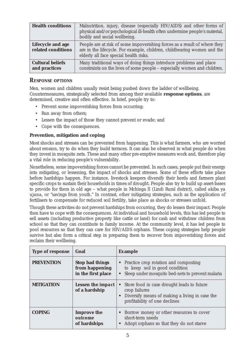| <b>Health conditions</b>                 | Malnutrition, injury, disease (especially HIV/AIDS) and other forms of<br>physical and/or psychological ill-health often undermine people's material,  <br>bodily and social wellbeing.        |
|------------------------------------------|------------------------------------------------------------------------------------------------------------------------------------------------------------------------------------------------|
| Lifecycle and age<br>related conditions  | People are at risk of some impoverishing forces as a result of where they<br>are in the lifecycle. For example, children, childbearing women and the<br>elderly all face special health risks. |
| <b>Cultural beliefs</b><br>and practices | Many traditional ways of doing things introduce problems and place<br>constraints on the lives of some people - especially women and children.                                                 |

#### *RESPONSE OPTIONS*

Men, women and children usually resist being pushed down the ladder of wellbeing. Countermeasures, strategically selected from among their available **response options**, are determined, creative and often effective. In brief, people try to:

- Prevent some impoverishing forces from occurring;
- Run away from others:
- Lessen the impact of those they cannot prevent or evade; and
- Cope with the consequences.

#### **Prevention, mitigation and coping**

Most shocks and stresses can be prevented from happening. This is what farmers, who are worried about erosion, try to do when they build terraces. It can also be observed in what people do when they invest in mosquito nets. These and many other pre-emptive measures work and, therefore play a vital role in reducing people's vulnerability.

Nonetheless, some impoverishing forces cannot be prevented. In such cases, people put their energy into mitigating, or lessening, the impact of shocks and stresses. Some of these efforts take place before hardships happen. For instance, livestock keepers diversify their herds and farmers plant specific crops to sustain their households in times of drought. People also try to build up asset-bases to provide for them in old age – what people in Mchinga II (Lindi Rural district), called *akiba ya ujana*, or "savings from youth." In contrast, other mitigating strategies, such as the application of fertilisers to compensate for reduced soil fertility, take place as shocks or stresses unfold.

Though these activities do not prevent hardships from occurring, they do lessen their impact. People then have to cope with the consequences. At individual and household levels, this has led people to sell assets (including productive property like cattle or land) for cash and withdraw children from school so that they can contribute to family income. At the community level, it has led people to pool resources so that they can care for HIV/AIDS orphans. These coping strategies help people survive but also form a critical step in preparing them to recover from impoverishing forces and reclaim their wellbeing.

| <b>Type of response</b> | Goal                                                           | <b>Example</b>                                                                                                                                              |
|-------------------------|----------------------------------------------------------------|-------------------------------------------------------------------------------------------------------------------------------------------------------------|
| <b>PREVENTION</b>       | <b>Stop bad things</b><br>from happening<br>in the first place | • Practice crop rotation and composting<br>to keep soil in good condition<br>Sleep under mosquito bed-nets to prevent malaria<br>$\bullet$                  |
| <b>MITIGATION</b>       | <b>Lessen the impact</b><br>of a hardship                      | Store food in case drought leads to future<br>$\bullet$<br>crop failures<br>Diversify means of making a living in case the<br>profitability of one declines |
| <b>COPING</b>           | <b>Improve the</b><br>outcome<br>of hardships                  | • Borrow money or other resources to cover<br>short-term needs<br>Adopt orphans so that they do not starve<br>$\bullet$                                     |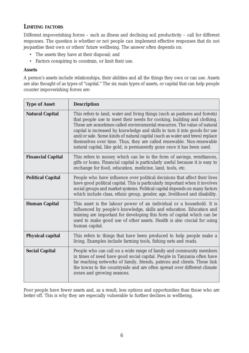#### **LIMITING FACTORS**

Different impoverishing forces – such as illness and declining soil productivity – call for different responses. The question is whether or not people *can* implement effective responses that do not jeopardise their own or others' future wellbeing. The answer often depends on:

- The assets they have at their disposal; and
- Factors conspiring to constrain, or limit their use.

#### **Assets**

A person's assets include relationships, their abilities and all the things they own or can use. Assets are also thought of as types of "capital." The six main types of assets, or capital that can help people counter impoverishing forces are:

| <b>Type of Asset</b>     | <b>Description</b>                                                                                                                                                                                                                                                                                                                                                                                                                                                                                                                                 |
|--------------------------|----------------------------------------------------------------------------------------------------------------------------------------------------------------------------------------------------------------------------------------------------------------------------------------------------------------------------------------------------------------------------------------------------------------------------------------------------------------------------------------------------------------------------------------------------|
| <b>Natural Capital</b>   | This refers to land, water and living things (such as pastures and forests)<br>that people use to meet their needs for cooking, building and clothing.<br>These are sometimes called environmental resources. The value of natural<br>capital is increased by knowledge and skills to turn it into goods for use<br>and/or sale. Some kinds of natural capital (such as water and trees) replace<br>themselves over time. Thus, they are called renewable. Non-renewable<br>natural capital, like gold, is permanently gone once it has been used. |
| <b>Financial Capital</b> | This refers to money which can be in the form of savings, remittances,<br>gifts or loans. Financial capital is particularly useful because it is easy to<br>exchange for food, education, medicine, land, tools, etc.                                                                                                                                                                                                                                                                                                                              |
| <b>Political Capital</b> | People who have influence over political decisions that affect their lives<br>have good political capital. This is particularly important when it involves<br>social groups and market systems. Political capital depends on many factors<br>which include class, ethnic group, gender, age, livelihood and disability.                                                                                                                                                                                                                            |
| <b>Human Capital</b>     | This asset is the labour power of an individual or a household. It is<br>influenced by people's knowledge, skills and education. Education and<br>training are important for developing this form of capital which can be<br>used to make good use of other assets. Health is also crucial for using<br>human capital.                                                                                                                                                                                                                             |
| <b>Physical capital</b>  | This refers to things that have been produced to help people make a<br>living. Examples include farming tools, fishing nets and roads.                                                                                                                                                                                                                                                                                                                                                                                                             |
| <b>Social Capital</b>    | People who can call on a wide range of family and community members<br>in times of need have good social capital. People in Tanzania often have<br>far reaching networks of family, friends, patrons and clients. These link<br>the towns to the countryside and are often spread over different climate<br>zones and growing seasons.                                                                                                                                                                                                             |

Poor people have fewer assets and, as a result, less options and opportunities than those who are better off. This is why they are especially vulnerable to further declines in wellbeing.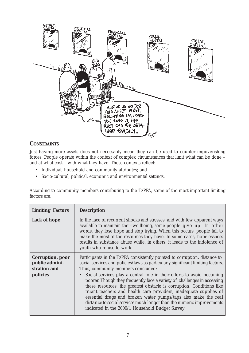

#### **CONSTRAINTS**

Just *having* more assets does not necessarily mean they can be used to counter impoverishing forces. People operate within the context of complex circumstances that limit what can be done – and at what cost – with what they have. These contexts reflect:

- Individual, household and community attributes; and
- Socio-cultural, political, economic and environmental settings.

According to community members contributing to the TzPPA, some of the most important limiting factors are:

| <b>Limiting Factors</b>                                               | <b>Description</b>                                                                                                                                                                                                                                                                                                                                                                                                                                                                                                                                                                                                                                                                                             |
|-----------------------------------------------------------------------|----------------------------------------------------------------------------------------------------------------------------------------------------------------------------------------------------------------------------------------------------------------------------------------------------------------------------------------------------------------------------------------------------------------------------------------------------------------------------------------------------------------------------------------------------------------------------------------------------------------------------------------------------------------------------------------------------------------|
| <b>Lack of hope</b>                                                   | In the face of recurrent shocks and stresses, and with few apparent ways<br>available to maintain their wellbeing, some people give up. In other<br>words, they lose hope and stop trying. When this occurs, people fail to<br>make the most of the resources they have. In some cases, hopelessness<br>results in substance abuse while, in others, it leads to the indolence of<br>youth who refuse to work.                                                                                                                                                                                                                                                                                                 |
| <b>Corruption, poor</b><br>public admini-<br>stration and<br>policies | Participants in the TzPPA consistently pointed to corruption, distance to<br>social services and policies/laws as particularly significant limiting factors.<br>Thus, community members concluded:<br>• Social services play a central role in their efforts to avoid becoming<br>poorer. Though they frequently face a variety of challenges in accessing<br>these resources, the greatest obstacle is <i>corruption</i> . Conditions like<br>truant teachers and health care providers, inadequate supplies of<br>essential drugs and broken water pumps/taps also make the real<br>distance to social services much longer than the numeric improvements<br>indicated in the 2000/1 Household Budget Survey |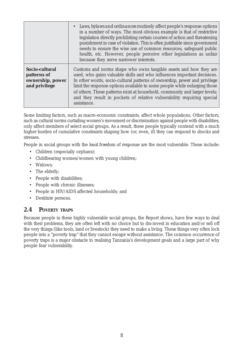|                                                                    | • Laws, bylaws and ordinances routinely affect people's response options<br>in a number of ways. The most obvious example is that of restrictive<br>legislation directly prohibiting certain courses of action and threatening<br>punishment in case of violation. This is often justifiable since government<br>needs to ensure the wise use of common resources, safeguard public<br>health, etc. However, people perceive other legislations as unfair<br>because they serve narrower interests. |
|--------------------------------------------------------------------|-----------------------------------------------------------------------------------------------------------------------------------------------------------------------------------------------------------------------------------------------------------------------------------------------------------------------------------------------------------------------------------------------------------------------------------------------------------------------------------------------------|
| Socio-cultural<br>patterns of<br>ownership, power<br>and privilege | Customs and norms shape who owns tangible assets and how they are<br>used, who gains valuable skills and who influences important decisions.<br>In other words, socio-cultural patterns of ownership, power and privilege<br>limit the response options available to some people while enlarging those<br>of others. These patterns exist at household, community and larger levels;<br>and they result in pockets of relative vulnerability requiring special<br>assistance.                       |

Some limiting factors, such as macro-economic constraints, affect whole populations. Other factors, such as cultural norms curtailing women's movement or discrimination against people with disabilities, only affect members of select social groups. As a result, these people typically contend with a much higher burden of cumulative constraints shaping how (or, even, *if*) they can respond to shocks and stresses.

People in social groups with the *least freedom* of response are the most vulnerable. These include:

- Children (especially orphans);
- Childbearing women/women with young children;
- Widows;
- The elderly;
- People with disabilities;
- People with chronic illnesses;
- People in HIV/AIDS affected households; and
- Destitute persons.

#### **2.4 POVERTY TRAPS**

Because people in these highly vulnerable social groups, the Report shows, have few ways to deal with their problems, they are often left with no choice but to dis-invest in education and/or sell off the very things (like tools, land or livestock) they need to make a living. These things very often lock people into a "poverty trap" that they cannot escape without assistance. The common occurrence of poverty traps is a major obstacle to realising Tanzania's development goals and a large part of why people fear vulnerability.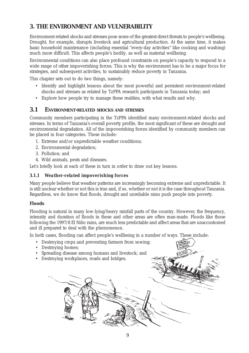#### **3. THE ENVIRONMENT AND VULNERABILITY**

Environment-related shocks and stresses pose some of the greatest direct threats to people's wellbeing. Drought, for example, disrupts livestock and agricultural production. At the same time, it makes basic household maintenance (including essential "every-day activities" like cooking and washing) much more difficult. This affects people's bodily, as well as material wellbeing.

Environmental conditions can also place profound constraints on people's capacity to respond to a wide range of *other* impoverishing forces. This is why the environment has to be a major focus for strategies, and subsequent activities, to sustainably reduce poverty in Tanzania.

This chapter sets out to do two things, namely:

- Identify and highlight lessons about the most powerful and persistent environment-related shocks and stresses as related by TzPPA research participants in Tanzania today; and
- Explore how people try to manage these realities, with what results and why.

#### **3.1 ENVIRONMENT-RELATED SHOCKS AND STRESSES**

Community members participating in the TzPPA identified many environment-related shocks and stresses. In terms of Tanzania's overall poverty profile, the most significant of these are drought and environmental degradation. All of the impoverishing forces identified by community members can be placed in four categories. These include:

- 1. Extreme and/or unpredictable weather conditions;
- 2. Environmental degradation;
- 3. Pollution; and
- 4. Wild animals, pests and diseases.

Let's briefly look at each of these in turn in order to draw out key lessons.

#### *3.1.1 Weather-related impoverishing forces*

Many people believe that weather patterns are increasingly becoming extreme and unpredictable. It is still unclear whether or not this is true and, if so, whether or not it is the case throughout Tanzania. Regardless, we do know that floods, drought and unreliable rains push people into poverty.

#### **Floods**

Flooding is natural in many low-lying/heavy rainfall parts of the country. However, the frequency, intensity and duration of floods in these and other areas are often man-made. Floods like those following the 1997/8 El Niño rains, are much less predictable and affect areas that are unaccustomed and ill prepared to deal with the phenomenon.

In both cases, flooding can affect people's wellbeing in a number of ways. These include:

- Destroying crops and preventing farmers from sowing;
- Destroying homes:
- Spreading disease among humans and livestock; and
- Destroying workplaces, roads and bridges.

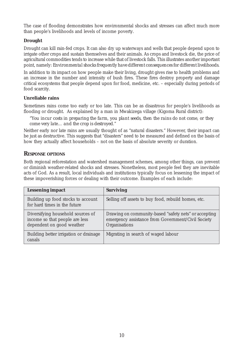The case of flooding demonstrates how environmental shocks and stresses can affect much more than people's livelihoods and levels of income poverty.

#### **Drought**

Drought can kill rain-fed crops. It can also dry up waterways and wells that people depend upon to irrigate other crops and sustain themselves and their animals. As crops and livestock die, the price of agricultural commodities tends to increase while that of livestock falls. This illustrates another important point, namely: *Environmental shocks frequently have different consequences for different livelihoods*.

In addition to its impact on how people make their living, drought gives rise to health problems and an increase in the number and intensity of bush fires. These fires destroy property and damage critical ecosystems that people depend upon for food, medicine, etc. – especially during periods of food scarcity.

#### **Unreliable rains**

Sometimes rains come too early or too late. This can be as disastrous for people's livelihoods as flooding or drought. As explained by a man in Mwakizega village (Kigoma Rural district):

*"You incur costs in preparing the farm, you plant seeds, then the rains do not come, or they come very late… and the crop is destroyed."*

Neither early nor late rains are usually thought of as "natural disasters." However, their impact can be just as destructive. This suggests that "disasters" need to be measured and defined on the basis of how they actually affect households – not on the basis of absolute severity or duration.

#### **RESPONSE OPTIONS**

Both regional reforestation and watershed management schemes, among other things, can prevent or diminish weather-related shocks and stresses. Nonetheless, most people feel they are inevitable acts of God. As a result, local individuals and institutions typically focus on lessening the impact of these impoverishing forces or dealing with their outcome. Examples of each include:

| <b>Lessening impact</b>                                                                          | <b>Surviving</b>                                                                                                             |
|--------------------------------------------------------------------------------------------------|------------------------------------------------------------------------------------------------------------------------------|
| Building up food stocks to account<br>for hard times in the future                               | Selling off assets to buy food, rebuild homes, etc.                                                                          |
| Diversifying household sources of<br>income so that people are less<br>dependent on good weather | Drawing on community-based "safety nets" or accepting<br>emergency assistance from Government/Civil Society<br>Organisations |
| Building better irrigation or drainage<br>canals                                                 | Migrating in search of waged labour                                                                                          |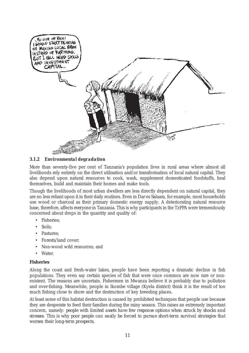

#### *3.1.2 Environmental degradation*

More than seventy-five per cent of Tanzania's population lives in rural areas where almost all livelihoods rely entirely on the direct utilisation and/or transformation of local natural capital. They also depend upon natural resources to cook, wash, supplement domesticated foodstuffs, heal themselves, build and maintain their homes and make tools.

Though the livelihoods of most urban dwellers are less directly dependent on natural capital, they are no less reliant upon it in their daily routines. Even in Dar es Salaam, for example, most households use wood or charcoal as their primary domestic energy supply. A deteriorating natural resource base, therefore, affects *everyone* in Tanzania. This is why participants in the TzPPA were tremendously concerned about drops in the quantity and quality of:

- Fisheries;
- Soils;
- Pastures:
- Forests/land cover;
- Non-wood wild resources; and
- Water<sub>.</sub>

#### **Fisheries**

Along the coast and fresh-water lakes, people have been reporting a dramatic decline in fish populations. They even say certain species of fish that were once common are now rare or nonexistent. The reasons are uncertain. Fishermen in Mwanza believe it is probably due to pollution and over-fishing. Meanwhile, people in Ikombe village (Kyela district) think it is the result of too much fishing close to shore and the destruction of key breeding places.

At least some of this habitat destruction is caused by prohibited techniques that people use because they are desperate to feed their families during the rainy season. This raises an extremely important concern, namely: *people with limited assets have few response options when struck by shocks and stresses. This is why poor people can easily be forced to pursue short-term survival strategies that worsen their long-term prospects.*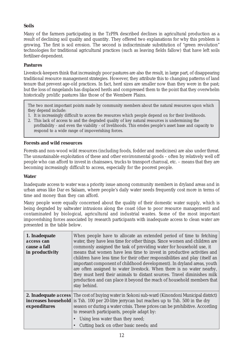#### **Soils**

Many of the farmers participating in the TzPPA described declines in agricultural production as a result of declining soil quality and quantity. They offered two explanations for why this problem is growing. The first is soil erosion. The second is indiscriminate substitution of "green revolution" technologies for traditional agricultural practices (such as leaving fields fallow) that have left soils fertiliser-dependent.

#### **Pastures**

Livestock-keepers think that increasingly poor pastures are also the result, in large part, of disappearing traditional resource management strategies. However, they attribute this to changing patterns of land tenure that prevent age-old practices. In fact, herd sizes are smaller now than they were in the past; but the loss of rangelands has displaced herds and compressed them to the point that they overwhelm historically prolific pastures like those of the Wembere Plains.

The two most important points made by community members about the natural resources upon which they depend include:

- 1. It is increasingly difficult to access the resources which people depend on for their livelihoods.
- 2. This lack of access to and the degraded quality of key natural resources is undermining the profitability - and even the viability - of livelihoods. This erodes people's asset base and capacity to respond to a wide range of impoverishing forces.

#### **Forests and wild resources**

Forests and non-wood wild resources (including foods, fodder and medicines) are also under threat. The unsustainable exploitation of these and other environmental goods – often by relatively well off people who can afford to invest in chainsaws, trucks to transport charcoal, etc. – means that they are becoming increasingly difficult to access, especially for the poorest people.

#### **Water**

Inadequate access to water was a priority issue among community members in dryland areas *and* in urban areas like Dar es Salaam, where people's daily water needs frequently cost more in terms of time and money than they can afford.

Many people were equally concerned about the quality of their domestic water supply, which is being degraded by saltwater intrusions along the coast (due to poor resource management) and contaminated by biological, agricultural and industrial wastes. Some of the most important impoverishing forces associated by research participants with inadequate access to clean water are presented in the table below.

| 1. Inadequate<br><i>access</i> can<br>cause a fall<br>in productivity | When people have to allocate an extended period of time to fetching<br>water, they have less time for other things. Since women and children are<br>commonly assigned the task of providing water for household use, it<br>means that women have less time to invest in productive activities and<br>children have less time for their other responsibilities and play (itself an<br>important component of childhood development). In dryland areas, youth<br>are often assigned to water livestock. When there is no water nearby,<br>they must herd their animals to distant sources. Travel diminishes milk<br>production and can place it beyond the reach of household members that<br>stay behind. |
|-----------------------------------------------------------------------|-----------------------------------------------------------------------------------------------------------------------------------------------------------------------------------------------------------------------------------------------------------------------------------------------------------------------------------------------------------------------------------------------------------------------------------------------------------------------------------------------------------------------------------------------------------------------------------------------------------------------------------------------------------------------------------------------------------|
| expenditures                                                          | <b>2. Inadequate <i>access</i></b> The cost of buying water in Sokoni sub-ward (Kinondoni Municipal district)<br>increases household is Tsh. 100 per 20-litre jerrycan but reaches up to Tsh. 500 in the dry<br>season or during a water crisis. These prices can be prohibitive. According<br>to research participants, people adapt by:<br>Using less water than they need;<br>Cutting back on other basic needs; and                                                                                                                                                                                                                                                                                   |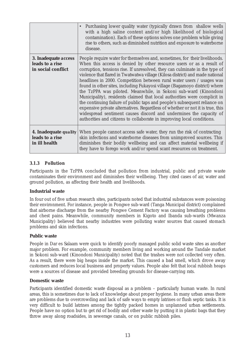|                                                                  | Purchasing lower quality water (typically drawn from shallow wells<br>$\bullet$<br>with a high saline content and/or high likelihood of biological<br>contamination). Each of these options solves one problem while giving<br>rise to others, such as diminished nutrition and exposure to waterborne<br>disease.                                                                                                                                                                                                                                                                                                                                                                                                                                                                                                                                                                                                                      |
|------------------------------------------------------------------|-----------------------------------------------------------------------------------------------------------------------------------------------------------------------------------------------------------------------------------------------------------------------------------------------------------------------------------------------------------------------------------------------------------------------------------------------------------------------------------------------------------------------------------------------------------------------------------------------------------------------------------------------------------------------------------------------------------------------------------------------------------------------------------------------------------------------------------------------------------------------------------------------------------------------------------------|
| 3. Inadequate access<br>leads to a rise<br>in social conflict    | People require water for themselves and, sometimes, for their livelihoods.<br>When this access is denied by other resource users or as a result of<br>corruption, tensions rise. If unresolved, they can culminate in the type of<br>violence that flared in Twatwatwa village (Kilosa district) and made national<br>headlines in 2000. Competition between rural water users / usages was<br>found in other sites, including Fukayosi village (Bagamoyo district) where<br>the TzPPA was piloted. Meanwhile, in Sokoni sub-ward (Kinondoni<br>Municipality), residents claimed that local authorities were complicit in<br>the continuing failure of public taps and people's subsequent reliance on<br>expensive private alternatives. Regardless of whether or not it is true, this<br>widespread sentiment causes discord and undermines the capacity of<br>authorities and citizens to collaborate in improving local conditions. |
| 4. Inadequate <i>quality</i><br>leads to a rise<br>in ill health | When people cannot access safe water, they run the risk of contracting<br>skin infections and waterborne diseases from unimproved sources. This<br>diminishes their bodily wellbeing and can affect material wellbeing if<br>they have to forego work and/or spend scant resources on treatment.                                                                                                                                                                                                                                                                                                                                                                                                                                                                                                                                                                                                                                        |

#### *3.1.3 Pollution*

Participants in the TzPPA concluded that pollution from industrial, public and private waste contaminates their environment and diminishes their wellbeing. They cited cases of air, water and ground pollution, as affecting their health and livelihoods.

#### **Industrial waste**

In four out of five urban research sites, participants noted that industrial substances were poisoning their environment. For instance, people in Pongwe sub-ward (Tanga Municipal district) complained that airborne discharge from the nearby Pongwe Cement Factory was causing breathing problems and chest pains. Meanwhile, community members in Kigoto and Ibanda sub-wards (Mwanza Municipality) believed that nearby industries were polluting water sources that caused stomach problems and skin infections.

#### **Public waste**

People in Dar es Salaam were quick to identify poorly managed public solid waste sites as another major problem. For example, community members living and working around the Tandale market in Sokoni sub-ward (Kinondoni Municipality) noted that the trashes were not collected very often. As a result, there were big heaps inside the market. This caused a bad smell, which drove away customers and reduces local business and property values. People also felt that local rubbish heaps were a sources of disease and provided breeding grounds for disease-carrying rats.

#### **Domestic waste**

Participants identified domestic waste disposal as a problem – particularly human waste. In rural areas, this is sometimes due to lack of knowledge about proper hygiene. In many urban areas there are problems due to overcrowding and lack of safe ways to empty latrines or flush septic tanks. It is very difficult to build latrines among the tightly packed homes in unplanned urban settlements. People have no option but to get rid of bodily and other waste by putting it in plastic bags that they throw away along roadsides, in sewerage canals, or on public rubbish piles.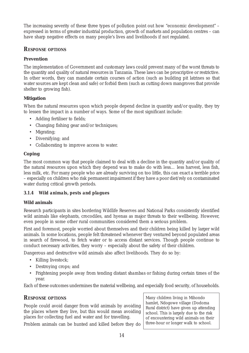The increasing severity of these three types of pollution point out how "economic development" – expressed in terms of greater industrial production, growth of markets and population centres – can have sharp negative effects on many people's lives and livelihoods if not regulated.

#### *RESPONSE OPTIONS*

#### **Prevention**

The implementation of Government and customary laws could prevent many of the worst threats to the quantity and quality of natural resources in Tanzania. These laws can be proscriptive or restrictive. In other words, they can mandate certain courses of action (such as building pit latrines so that water sources are kept clean and safe) or forbid them (such as cutting down mangroves that provide shelter to growing fish).

#### **Mitigation**

When the natural resources upon which people depend decline in quantity and/or quality, they try to lessen the impact in a number of ways. Some of the most significant include:

- Adding fertiliser to fields;
- Changing fishing gear and/or techniques;
- Migrating:
- Diversifying; and
- Collaborating to improve access to water.

#### **Coping**

The most common way that people claimed to deal with a decline in the quantity and/or quality of the natural resources upon which they depend was to make do with less… less harvest, less fish, less milk, etc. For many people who are already surviving on too little, this can exact a terrible price – especially on children who risk permanent impairment if they have a poor diet/rely on contaminated water during critical growth periods.

#### *3.1.4 Wild animals, pests and plagues*

#### **Wild animals**

Research participants in sites bordering Wildlife Reserves and National Parks consistently identified wild animals like elephants, crocodiles, and hyenas as major threats to their wellbeing. However, even people in some other rural communities considered them a serious problem.

First and foremost, people worried about themselves and their children being killed by larger wild animals. In some locations, people felt threatened whenever they ventured beyond populated areas in search of firewood, to fetch water or to access distant services. Though people continue to conduct necessary activities, they worry – especially about the safety of their children.

Dangerous and destructive wild animals also affect livelihoods. They do so by:

- Killing livestock;
- Destroying crops; and
- Frightening people away from tending distant *shambas* or fishing during certain times of the year.

Each of these outcomes undermines the material wellbeing, and especially food security, of households.

#### *RESPONSE OPTIONS*

People could avoid danger from wild animals by avoiding the places where they live, but this would mean avoiding places for collecting fuel and water and for travelling.

Many children living in Mihondo hamlet, Ndogowe village (Dodoma Rural district) have given up attending school. This is largely due to the risk of encountering wild animals on their three-hour or longer walk to school.

Problem animals can be hunted and killed before they do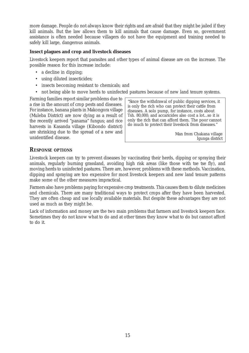more damage. People do not always know their rights and are afraid that they might be jailed if they kill animals. But the law allows them to kill animals that cause damage. Even so, government assistance is often needed because villagers do not have the equipment and training needed to safely kill large, dangerous animals.

#### **Insect plagues and crop and livestock diseases**

Livestock keepers report that parasites and other types of animal disease are on the increase. The possible reason for this increase include:

- a decline in dipping;
- using diluted insecticides;
- insects becoming resistant to chemicals; and
- not being able to move herds to uninfected pastures because of new land tenure systems.

Farming families report similar problems due to a rise in the amount of crop pests and diseases. For instance, banana plants in Makongora village (Muleba District) are now dying as a result of the recently arrived "panama" fungus; and rice harvests in Kasanda village (Kibondo district) are shrinking due to the spread of a new and unidentified disease.

"Since the withdrawal of public dipping services, it is only the rich who can protect their cattle from diseases. A solo pump, for instance, costs about Tsh. 80,000; and accaricides also cost a lot...so it is only the rich that can afford them. The poor cannot do much to protect their livestock from diseases."

> Man from Chakana village Igunga district

#### *RESPONSE OPTIONS*

Livestock keepers can try to prevent diseases by vaccinating their herds, dipping or spraying their animals, regularly burning grassland, avoiding high risk areas (like those with tse tse fly), and moving herds to uninfected pastures. There are, however, problems with these methods. Vaccination, dipping and spraying are too expensive for most livestock keepers and new land tenure patterns make some of the other measures impractical.

Farmers also have problems paying for expensive crop treatments. This causes them to dilute medicines and chemicals. There are many traditional ways to protect crops after they have been harvested. They are often cheap and use locally available materials. But despite these advantages they are not used as much as they might be.

Lack of information and money are the two main problems that farmers and livestock keepers face. Sometimes they do not know what to do and at other times they know what to do but cannot afford to do it.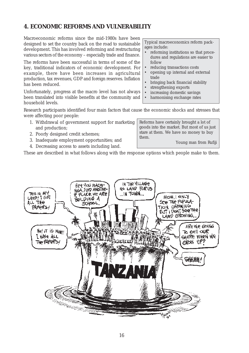#### **4. ECONOMIC REFORMS AND VULNERABILITY**

Macroeconomic reforms since the mid-1980s have been designed to set the country back on the road to sustainable development. This has involved reforming and restructuring various sectors of the economy – especially trade and finance.

The reforms have been successful in terms of some of the key, traditional indicators of economic development. For example, there have been increases in agricultural production, tax revenues, GDP and foreign reserves. Inflation has been reduced.

Unfortunately, progress at the macro level has not always been translated into visible benefits at the community and household levels.

Typical macroeconomics reform packages include:

- reforming institutions so that procedures and regulations are easier to follow
- reducing transactions costs
- opening up internal and external trade
- bringing back financial stability
- strengthening exports
- increasing domestic savings
- harmonising exchange rates

Research participants identified four main factors that cause the economic shocks and stresses that were affecting poor people:

- 1. Withdrawal of government support for marketing and production;
- 2. Poorly designed credit schemes;
- 3. Inadequate employment opportunities; and
- 4. Decreasing access to assets including land.

Reforms have certainly brought a lot of goods into the market. But most of us just stare at them. We have no money to buy them.

Young man from Rufiji

These are described in what follows along with the response options which people make to them.

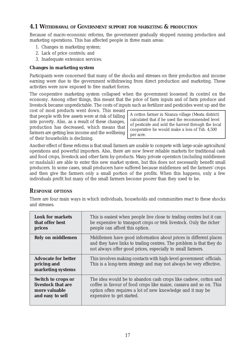#### **4.1 WITHDRAWAL OF GOVERNMENT SUPPORT FOR MARKETING & PRODUCTION**

Because of macro-economic reforms, the government gradually stopped running production and marketing operations. This has affected people in three main areas:

- 1. Changes in marketing system;
- 2. Lack of price controls; and
- 3. Inadequate extension services.

#### **Changes in marketing system**

Participants were concerned that many of the shocks and stresses on their production and income earning were due to the government withdrawing from direct production and marketing. These activities were now exposed to free market forces.

The cooperative marketing system collapsed when the government loosened its control on the economy. Among other things, this meant that the price of farm inputs and of farm produce and livestock became unpredictable. The costs of inputs such as fertilizer and pesticides went up and the

cost of most products went down. This meant that people with few assets were at risk of falling into poverty. Also, as a result of these changes, production has decreased, which means that farmers are getting less income and the wellbeing of their households is declining.

A cotton farmer in Nzanza village (Meatu district) calculated that if he used the recommended level of pesticide and sold the harvest through the local cooperative he would make a loss of Tsh. 4,500 per acre.

Another effect of these reforms is that small farmers are unable to compete with large-scale agricultural operations and powerful importers. Also, there are now fewer reliable markets for traditional cash and food crops, livestock and other farm by-products. Many private operators (including middlemen or *madalali*) are able to enter this new market system, but this does not necessarily benefit small producers. In some cases, small producers have suffered because middlemen sell the farmers' crops and then give the farmers only a small portion of the profits. When this happens, only a few individuals profit but many of the small farmers become poorer than they used to be.

#### *RESPONSE OPTIONS*

There are four main ways in which individuals, households and communities react to these shocks and stresses.

| <b>Look for markets</b>                                        | This is easiest when people live close to trading centres but it can                                                                                                                                  |
|----------------------------------------------------------------|-------------------------------------------------------------------------------------------------------------------------------------------------------------------------------------------------------|
| that offer best                                                | be expensive to transport crops or trek livestock. Only the richer                                                                                                                                    |
| prices                                                         | people can afford this option.                                                                                                                                                                        |
| <b>Rely on middlemen</b>                                       | Middlemen have good information about prices in different places<br>and they have links to trading centres. The problem is that they do<br>not always offer good prices, especially to small farmers. |
| <b>Advocate for better</b><br>pricing and<br>marketing systems | This involves making contacts with high-level government officials.<br>This is a long-term strategy and may not always be very effective.                                                             |
| <b>Switch to crops or</b>                                      | The idea would be to abandon cash crops like cashew, cotton and                                                                                                                                       |
| livestock that are                                             | coffee in favour of food crops like maize, cassava and so on. This                                                                                                                                    |
| more valuable                                                  | option often requires a lot of new knowledge and it may be                                                                                                                                            |
| and easy to sell                                               | expensive to get started.                                                                                                                                                                             |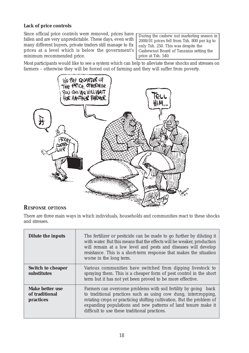#### **Lack of price controls**

Since official price controls were removed, prices have fallen and are very unpredictable. These days, even with many different buyers, private traders still manage to fix prices at a level which is below the government's minimum recommended price.

During the cashew nut marketing season in 2000/01 prices fell from Tsh. 800 per kg to only Tsh. 250. This was despite the Cashewnut Board of Tanzania setting the price at Tsh. 540.

Most participants would like to see a system which can help to alleviate these shocks and stresses on farmers – otherwise they will be forced out of farming and they will suffer from poverty.



#### *RESPONSE OPTIONS*

There are three main ways in which individuals, households and communities react to these shocks and stresses.

| <b>Dilute the inputs</b>                              | The fertilizer or pesticide can be made to go further by diluting it<br>with water. But this means that the effects will be weaker, production<br>will remain at a low level and pests and diseases will develop<br>resistance. This is a short-term response that makes the situation<br>worse in the long term.                |
|-------------------------------------------------------|----------------------------------------------------------------------------------------------------------------------------------------------------------------------------------------------------------------------------------------------------------------------------------------------------------------------------------|
| <b>Switch to cheaper</b><br>substitutes               | Various communities have switched from dipping livestock to<br>spraying them. This is a cheaper form of pest control in the short<br>term but it has not yet been proved to be more effective.                                                                                                                                   |
| <b>Make better use</b><br>of traditional<br>practices | Farmers can overcome problems with soil fertility by going<br>back<br>to traditional practices such as using cow dung, intercropping,<br>rotating crops or practicing shifting cultivation. But the problem of<br>expanding populations and new patterns of land tenure make it<br>difficult to use these traditional practices. |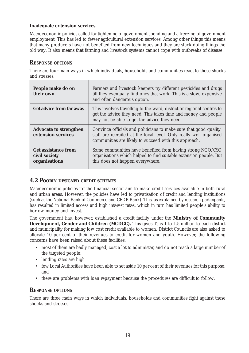#### **Inadequate extension services**

Macroeconomic policies called for tightening of government spending and a freezing of government employment. This has led to fewer agricultural extension services. Among other things this means that many producers have not benefited from new techniques and they are stuck doing things the old way. It also means that farming and livestock systems cannot cope with outbreaks of disease.

#### *RESPONSE OPTIONS*

There are four main ways in which individuals, households and communities react to these shocks and stresses.

| People make do on<br>their own                               | Farmers and livestock keepers try different pesticides and drugs<br>till they eventually find ones that work. This is a slow, expensive<br>and often dangerous option.                           |
|--------------------------------------------------------------|--------------------------------------------------------------------------------------------------------------------------------------------------------------------------------------------------|
| Get advice from far away                                     | This involves travelling to the ward, district or regional centres to<br>get the advice they need. This takes time and money and people<br>may not be able to get the advice they need.          |
| <b>Advocate to strengthen</b><br>extension services          | Convince officials and politicians to make sure that good quality<br>staff are recruited at the local level. Only really well organised<br>communities are likely to succeed with this approach. |
| <b>Get assistance from</b><br>civil society<br>organisations | Some communities have benefited from having strong NGO/CSO<br>organisations which helped to find suitable extension people. But<br>this does not happen everywhere.                              |

#### **4.2 POORLY DESIGNED CREDIT SCHEMES**

Macroeconomic policies for the financial sector aim to make credit services available in both rural and urban areas. However, the policies have led to privatisation of credit and lending institutions (such as the National Bank of Commerce and CRDB Bank). This, as explained by research participants, has resulted in limited access and high interest rates, which in turn has limited people's ability to borrow money and invest.

The government has, however, established a credit facility under the **Ministry of Community Development, Gender and Children (MCDGC).** This gives Tshs 1 to 1.5 million to each district and municipality for making low cost credit available to women. District Councils are also asked to allocate 10 per cent of their revenues to credit for women and youth. However, the following concerns have been raised about these facilities:

- most of them are badly managed, cost a lot to administer, and do not reach a large number of the targeted people;
- lending rates are high
- few Local Authorities have been able to set aside 10 per cent of their revenues for this purpose; and
- there are problems with loan repayment because the procedures are difficult to follow.

#### *RESPONSE OPTIONS*

There are three main ways in which individuals, households and communities fight against these shocks and stresses.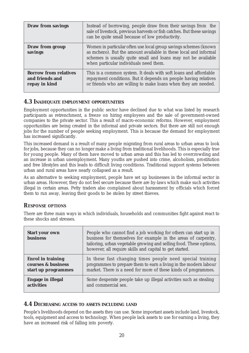| <b>Draw from savings</b>                                         | Instead of borrowing, people draw from their savings from the<br>sale of livestock, previous harvests or fish catches. But these savings<br>can be quite small because of low productivity.                                                             |
|------------------------------------------------------------------|---------------------------------------------------------------------------------------------------------------------------------------------------------------------------------------------------------------------------------------------------------|
| <b>Draw from group</b><br>savings                                | Women in particular often use local group savings schemes (known<br>as <i>mchezo</i> ). But the amount available in these local and informal<br>schemes is usually quite small and loans may not be available<br>when particular individuals need them. |
| <b>Borrow from relatives</b><br>and friends and<br>repay in kind | This is a common system. It deals with soft loans and affordable<br>repayment conditions. But it depends on people having relatives<br>or friends who are willing to make loans when they are needed.                                                   |

#### **4.3 INADEQUATE EMPLOYMENT OPPORTUNITIES**

Employment opportunities in the public sector have declined due to what was listed by research participants as retrenchment, a freeze on hiring employees and the sale of government-owned companies to the private sector. This a result of macro-economic reforms. However, employment opportunities are being created in the informal and private sectors. But there are still not enough jobs for the number of people seeking employment. This is because the demand for employment has increased significantly.

This increased demand is a result of many people migrating from rural areas to urban areas to look for jobs, because they can no longer make a living from traditional livelihoods. This is especially true for young people. Many of them have moved to urban areas and this has led to overcrowding and an increase in urban unemployment. Many youths are pushed into crime, alcoholism, prostitution and free lifestyles and this leads to difficult living conditions. Traditional support systems between urban and rural areas have nearly collapsed as a result.

As an alternative to seeking employment, people have set up businesses in the informal sector in urban areas. However, they do not feel secure because there are by-laws which make such activities illegal in certain areas. Petty traders also complained about harassment by officials which forced them to run away, leaving their goods to be stolen by street thieves.

#### *RESPONSE OPTIONS*

There are three main ways in which individuals, households and communities fight against react to these shocks and stresses.

| <b>Start your own</b><br><b>business</b> | People who cannot find a job working for others can start up in<br>business for themselves for example in the areas of carpentry,<br>tailoring, urban vegetable growing and selling food. These options,<br>however, all require skills and capital to get started. |
|------------------------------------------|---------------------------------------------------------------------------------------------------------------------------------------------------------------------------------------------------------------------------------------------------------------------|
| <b>Enrol in training</b>                 | In these fast changing times people need special training                                                                                                                                                                                                           |
| courses & business                       | programmes to prepare them to earn a living in the modern labour                                                                                                                                                                                                    |
| start up programmes                      | market. There is a need for more of these kinds of programmes.                                                                                                                                                                                                      |
| <b>Engage in illegal</b>                 | Some desperate people take up illegal activities such as stealing                                                                                                                                                                                                   |
| <b>activities</b>                        | and commercial sex.                                                                                                                                                                                                                                                 |

#### **4.4 DECREASING ACCESS TO ASSETS INCLUDING LAND**

People's livelihoods depend on the assets they can use. Some important assets include land, livestock, tools, equipment and access to technology. When people lack assets to use for earning a living, they have an increased risk of falling into poverty.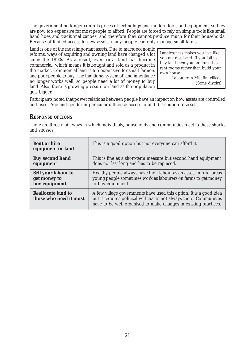The government no longer controls prices of technology and modern tools and equipment, so they are now too expensive for most people to afford. People are forced to rely on simple tools like small hand hoes and traditional canoes, and therefore they cannot produce much for their households. Because of limited access to new assets, many people can only manage small farms.

Land is one of the most important assets. Due to macroeconomic reforms, ways of acquiring and owning land have changed a lot since the 1990s. As a result, even rural land has become commercial, which means it is bought and sold as a product in the market. Commercial land is too expensive for small farmers and poor people to buy. The traditional system of land inheritance no longer works well, so people need a lot of money to buy land. Also, there is growing pressure on land as the population gets bigger.

Landlessness makes you live like you are displaced. If you fail to buy land then you are forced to rent rooms rather than build your own house.

> Labourer in Misufini village (Same district)

Participants noted that power relations between people have an impact on how assets are controlled and used. Age and gender in particular influence access to and distribution of assets.

#### *RESPONSE OPTIONS*

There are three main ways in which individuals, households and communities react to these shocks and stresses.

| <b>Rent or hire</b><br>equipment or land            | This is a good option but not everyone can afford it.                                                                                                                                                          |
|-----------------------------------------------------|----------------------------------------------------------------------------------------------------------------------------------------------------------------------------------------------------------------|
| <b>Buy second hand</b>                              | This is fine as a short-term measure but second hand equipment                                                                                                                                                 |
| equipment                                           | does not last long and has to be replaced.                                                                                                                                                                     |
| <b>Sell your labour to</b>                          | Healthy people always have their labour as an asset. In rural areas                                                                                                                                            |
| get money to                                        | young people sometimes work as labourers on farms to get money                                                                                                                                                 |
| buy equipment                                       | to buy equipment.                                                                                                                                                                                              |
| <b>Reallocate land to</b><br>those who need it most | A few village governments have used this option. It is a good idea<br>but it requires political will that is not always there. Communities<br>have to be well organised to make changes in existing practices. |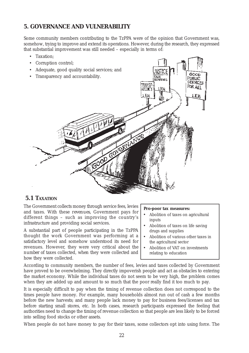#### **5. GOVERNANCE AND VULNERABILITY**

Some community members contributing to the TzPPA were of the opinion that Government was, somehow, trying to improve and extend its operations. However, during the research, they expressed that substantial improvement was still needed – especially in terms of:

- Taxation;
- Corruption control;
- Adequate, good quality social services; and



#### **5.1 TAXATION**

The Government collects money through service fees, levies and taxes. With these *revenues*, Government pays for different things – such as improving the country's infrastructure and providing social services.

A substantial part of people participating in the TzPPA thought the work Government was performing at a satisfactory level and somehow understood its need for revenues. However, they were very critical about *the number of* taxes collected, *when* they were collected and *how* they were collected.

#### **Pro-poor tax measures:**

- Abolition of taxes on agricultural inputs
- Abolition of taxes on life saving drugs and supplies
- Abolition of various other taxes in the agricultural sector
- Abolition of VAT on investments relating to education

According to community members, the number of fees, levies and taxes collected by Government have proved to be overwhelming. They directly impoverish people and act as obstacles to entering the market economy. While the individual taxes do not seem to be very high, the problem comes when they are added up and amount to so much that the poor really find it too much to pay.

It is especially difficult to pay when the timing of revenue collection does not correspond to the times people have money. For example, many households almost run out of cash a few months before the new harvests; and many people lack money to pay for business fees/licenses and tax before starting small stores, etc. In both cases, research participants expressed the feeling that authorities need to change the timing of revenue collection so that people are less likely to be forced into selling food stocks or other assets.

When people do not have money to pay for their taxes, some collectors opt into using force. The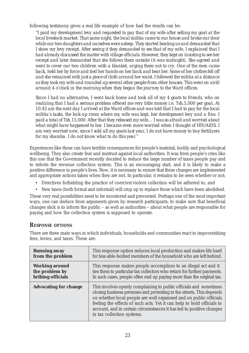following testimony gives a real life example of how bad the results can be:

*"I paid my development levy and requested to pay that of my wife after selling my goat at the local livestock market. That same night, the local militia came to our house and broke our door while our two daughters and ourselves were asleep. They started beating us and demanded that I show my levy receipt. After seeing it they demanded to see that of my wife. I explained that I had already discussed the matter with village officials. However, they kept on insisting to see her receipt and later demanded that she follows them outside (it was midnight). She agreed and went to cover our two children with a blanket, urging them not to cry. One of the men came back, held her by force and tied her hands on her back and beat her. Some of her clothes fell off and she remained with just a piece of cloth around her waist. I followed the militia at a distance as they took my wife and rounded up several other people from other houses. This went on until around 4 o'clock in the morning when they began the journey to the Ward offices.*

*Since I had no alternative, I went back home and took all of my 4 goats to friends, who on realizing that I had a serious problem offered me very little money i.e. Tsh.5,000 per goat. At 10.45 am the next day I arrived at the Ward offices and was told that I had to pay for the local militia's tasks, the lock-up room where my wife was kept, her development levy and a fine. I paid a total of Tsh.15,000. After that they released my wife… I was so afraid and worried about what might have happened to her. I became even more worried when I thought of HIV/AIDS. I am very worried now, since I sold all my goats last year, I do not have money to buy fertilizers for my shamba. I do not know what to do this year."*

Experiences like these can have terrible consequences for people's material, bodily and psychological wellbeing. They also create fear and mistrust against local authorities. It was from people's cries like this one that the Government recently decided to reduce the large number of taxes people pay and to reform the revenue collection system. This is an encouraging start, and it is likely to make a positive difference in people's lives. Now, it is necessary to ensure that these changes are implemented and appropriate actions taken when they are not. In particular, it remains to be seen whether or not:

- Directives forbidding the practice of coercive/violent collection will be adhered to; and
- New taxes (both formal and informal) will crop up to replace those which have been abolished.

These very real possibilities need to be monitored and prevented. Perhaps one of the most important ways, one can deduce from arguments given by research participants, to make sure that beneficial changes stick is to inform the public – as well as authorities – about what people are responsible for paying and how the collection system is supposed to operate.

#### *RESPONSE OPTIONS*

There are three main ways in which individuals, households and communities react to impoverishing fees, levies, and taxes. These are:

| <b>Running away</b>          | This response option reduces local production and makes life hard                                                                                                                                                                                                                                                                                                                                 |
|------------------------------|---------------------------------------------------------------------------------------------------------------------------------------------------------------------------------------------------------------------------------------------------------------------------------------------------------------------------------------------------------------------------------------------------|
| from the problem             | for less able-bodied members of the household who are left behind.                                                                                                                                                                                                                                                                                                                                |
| <b>Working around</b>        | This response makes people accomplices to an illegal act and it                                                                                                                                                                                                                                                                                                                                   |
| the problem by               | ties them to particular tax collectors who return for further payments.                                                                                                                                                                                                                                                                                                                           |
| bribing officials            | In such cases, people often end up paying more than the original tax.                                                                                                                                                                                                                                                                                                                             |
| <b>Advocating for change</b> | This involves openly complaining to public officials and sometimes<br>closing business premises and protesting in the streets. This depends<br>on whether local people are well organised and on public officials<br>feeling the effects of such acts. Yet it can help to hold officials to<br>account, and in certain circumstances it has led to positive changes<br>in tax collection systems. |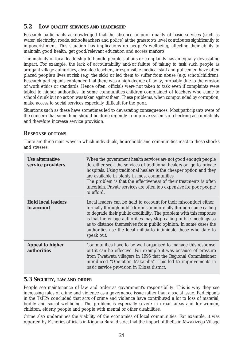#### **5.2 LOW QUALITY SERVICES AND LEADERSHIP**

Research participants acknowledged that the absence or poor quality of basic services (such as water, electricity, roads, schoolteachers and police) at the grassroots level contributes significantly to impoverishment. This situation has implications on people's wellbeing, affecting their ability to maintain good health, get good/relevant education and access markets.

The inability of local leadership to handle people's affairs or complaints has an equally devastating impact. For example, the lack of accountability and/or failure of taking to task such people as arrogant village authorities, absentee teachers, irresponsible medical staff and policemen have often placed people's lives at risk (e.g. the sick) or led them to suffer from abuse (e.g. schoolchildren). Research participants contended that there was a high degree of laxity, probably due to the erosion of work ethics or standards. Hence often, officials were not taken to task even if complaints were tabled to higher authorities. In some communities children complained of teachers who came to school drunk but no action was taken against them. These problems, when compounded by corruption, make access to social services especially difficult for the poor.

Situations such as these have sometimes led to devastating consequences. Most participants were of the concern that something should be done urgently to improve systems of checking accountability and therefore increase service provision.

#### *RESPONSE OPTIONS*

There are three main ways in which individuals, households and communities react to these shocks and stresses.

| <b>Use alternative</b><br>service providers   | When the government health services are not good enough people<br>do either seek the services of traditional healers or go to private<br>hospitals. Using traditional healers is the cheaper option and they<br>are available in plenty in most communities.<br>The problem is that the effectiveness of their treatments is often<br>uncertain. Private services are often too expensive for poor people<br>to afford.                    |
|-----------------------------------------------|--------------------------------------------------------------------------------------------------------------------------------------------------------------------------------------------------------------------------------------------------------------------------------------------------------------------------------------------------------------------------------------------------------------------------------------------|
| <b>Hold local leaders</b><br>to account       | Local leaders can be held to account for their misconduct either<br>formally through public forums or informally through name calling<br>to degrade their public credibility. The problem with this response<br>is that the village authorities may stop calling public meetings so<br>as to distance themselves from public opinion. In some cases the<br>authorities use the local militia to intimidate those who dare to<br>speak out. |
| <b>Appeal to higher</b><br><b>authorities</b> | Communities have to be well organised to manage this response<br>but it can be effective. For example it was because of pressure<br>from Twatwata villagers in 1995 that the Regional Commissioner<br>introduced "Operation Makamba". This led to improvements in<br>basic service provision in Kilosa district.                                                                                                                           |

#### **5.3 SECURITY, LAW AND ORDER**

People see maintenance of law and order as government's responsibility. This is why they see increasing rates of crime and violence as a governance issue rather than a social issue. Participants in the TzPPA concluded that acts of crime and violence have contributed a lot to loss of material, bodily and social wellbeing. The problem is especially severe in urban areas and for women, children, elderly people and people with mental or other disabilities.

Crime also undermines the viability of the economies of local communities. For example, it was reported by Fisheries officials in Kigoma Rural district that the impact of thefts in Mwakizega Village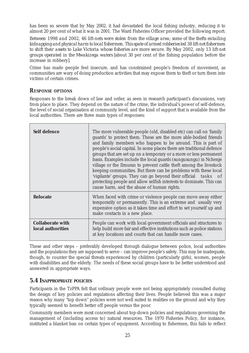has been so severe that by May 2002, it had devastated the local fishing industry, reducing it to almost 20 per cent of what it was in 2001. The Ward Fisheries Officer provided the following report:

*Between 1998 and 2002, 46 lift-nets were stolen from the village area; some of the thefts entailing kidnapping and physical harm to local fishermen. This spate of armed robberies led 38 lift-net fishermen to shift their assets to Lake Victoria whose fisheries are more secure. By May 2002, only 13 lift-net groups operated in the Mwakizega waters* [about 30 per cent of the fishing population before the increase in robbery]*.*

Crime has made people feel insecure, and has constrained people's freedom of movement, as communities are wary of doing production activities that may expose them to theft or turn them into victims of certain crimes.

#### *RESPONSE OPTIONS*

Responses to the break down of law and order, as seen in research participant's discussions, vary from place to place. They depend on the nature of the crime, the individual's power of self-defence, the level of social organisation at community level, and the kind of support that is available from the local authorities. There are three main types of responses:

| <b>Self defence</b>                          | The more vulnerable people (old, disabled etc) can call on 'family<br>guards' to protect them. These are the more able-bodied friends<br>and family members who happen to be around. This is part of<br>people's social capital. In some places there are traditional defence<br>groups that are set up on a temporary or a more or less permanent<br>basis. Examples include the local guards (sungusungu) in Nchenje<br>village or the Ilmuran to prevent cattle theft among the livestock<br>keeping communities. But there can be problems with these local<br>'vigilante' groups. They can go beyond their official tasks of<br>protecting people and allow selfish interests to dominate. This can<br>cause harm, and the abuse of human rights. |
|----------------------------------------------|--------------------------------------------------------------------------------------------------------------------------------------------------------------------------------------------------------------------------------------------------------------------------------------------------------------------------------------------------------------------------------------------------------------------------------------------------------------------------------------------------------------------------------------------------------------------------------------------------------------------------------------------------------------------------------------------------------------------------------------------------------|
| <b>Relocate</b>                              | When faced with crime or violence people can move away either<br>temporarily or permanently. This is an extreme and usually very<br>expensive option as it takes time and effort to set yourself up and<br>make contacts in a new place.                                                                                                                                                                                                                                                                                                                                                                                                                                                                                                               |
| <b>Collaborate with</b><br>local authorities | People can work with local government officials and structures to<br>help build more fair and effective institutions such as police stations<br>at key locations and courts that can handle more cases.                                                                                                                                                                                                                                                                                                                                                                                                                                                                                                                                                |

These and other steps – preferably developed through dialogue between police, local authorities and the populations they are supposed to serve – can improve people's safety. This may be inadequate, though, to counter the special threats experienced by children (particularly girls), women, people with disabilities and the elderly. The needs of these social groups have to be better understood and answered in appropriate ways.

#### **5.4 INAPPROPRIATE POLICIES**

Participants in the TzPPA felt that ordinary people were not being appropriately consulted during the design of key policies and regulations affecting their lives. People believed this was a major reason why many "top down" policies were not well suited to realities on the ground and why they typically seemed to benefit better off people versus the poor.

Community members were *most* concerned about top-down policies and regulations governing the management of (including access to) natural resources. The 1970 Fisheries Policy, for instance, instituted a blanket ban on certain types of equipment. According to fishermen, this fails to reflect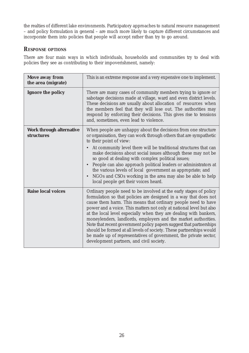the realties of different lake environments. Participatory approaches to natural resource management – and policy formulation in general – are much more likely to capture different circumstances and incorporate them into policies that people will accept rather than try to go around.

#### *RESPONSE OPTIONS*

There are four main ways in which individuals, households and communities try to deal with policies they see as contributing to their impoverishment, namely:

| <b>Move away from</b><br>the area (migrate)          | This is an extreme response and a very expensive one to implement.                                                                                                                                                                                                                                                                                                                                                                                                                                                                                                                                                                                                                 |
|------------------------------------------------------|------------------------------------------------------------------------------------------------------------------------------------------------------------------------------------------------------------------------------------------------------------------------------------------------------------------------------------------------------------------------------------------------------------------------------------------------------------------------------------------------------------------------------------------------------------------------------------------------------------------------------------------------------------------------------------|
| Ignore the policy                                    | There are many cases of community members trying to ignore or<br>sabotage decisions made at village, ward and even district levels.<br>These decisions are usually about allocation of resources when<br>the members feel that they will lose out. The authorities may<br>respond by enforcing their decisions. This gives rise to tensions<br>and, sometimes, even lead to violence.                                                                                                                                                                                                                                                                                              |
| <b>Work through alternative</b><br><b>structures</b> | When people are unhappy about the decisions from one structure<br>or organisation, they can work through others that are sympathetic<br>to their point of view:<br>At community level there will be traditional structures that can<br>$\bullet$<br>make decisions about social issues although these may not be<br>so good at dealing with complex political issues;<br>People can also approach political leaders or administrators at<br>$\bullet$<br>the various levels of local government as appropriate; and<br>NGOs and CSOs working in the area may also be able to help<br>$\bullet$<br>local people get their voices heard.                                             |
| <b>Raise local voices</b>                            | Ordinary people need to be involved at the early stages of policy<br>formulation so that policies are designed in a way that does not<br>cause them harm. This means that ordinary people need to have<br>power and a voice. This matters not only at national level but also<br>at the local level especially when they are dealing with bankers,<br>moneylenders, landlords, employers and the market authorities.<br>Note that recent government policy papers suggest that partnerships<br>should be formed at all levels of society. These partnerships would<br>be made up of representatives of government, the private sector,<br>development partners, and civil society. |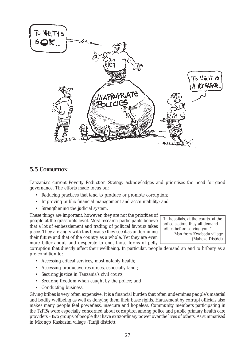

#### **5.5 CORRUPTION**

Tanzania's current Poverty Reduction Strategy acknowledges and prioritises the need for good governance. The efforts made focus on:

- Reducing practices that tend to produce or promote corruption;
- Improving public financial management and accountability; and
- Strengthening the judicial system.

These things are important, however, they are not the priorities of people at the grassroots level. Most research participants believe that a lot of embezzlement and trading of political favours takes place. They are angry with this because they see it as undermining their future and that of the country as a whole. Yet they are even more bitter about, and desperate to end, those forms of petty

corruption that directly affect their wellbeing. In particular, people demand an end to bribery as a pre-condition to:

- Accessing critical services, most notably health;
- Accessing productive resources, especially land ;
- Securing justice in Tanzania's civil courts;
- Securing freedom when caught by the police; and
- Conducting business.

Giving bribes is very often expensive. It is a financial burden that often undermines people's material and bodily wellbeing as well as denying them their basic rights. Harassment by corrupt officials also makes many people feel powerless, insecure and hopeless. Community members participating in the TzPPA were especially concerned about corruption among police and public primary health care providers – two groups of people that have extraordinary power over the lives of others. As summarised in Mkongo Kaskazini village (Rufiji district):

"In hospitals, at the courts, at the police station, they all demand bribes before serving you." Man from Kwabada village (Muheza District)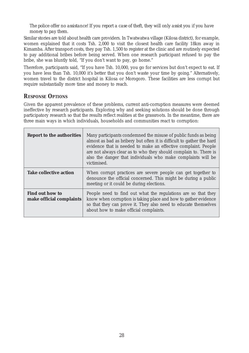*The police offer no assistance! If you report a case of theft, they will only assist you if you have money to pay them.*

Similar stories are told about health care providers. In Twatwatwa village (Kilosa district), for example, women explained that it costs Tsh. 2,000 to visit the closest health care facility 18km away in Kimamba. After transport costs, they pay Tsh. 1,500 to register at the clinic and are routinely expected to pay additional bribes before being served. When one research participant refused to pay the bribe, she was bluntly told, "If you don't want to pay, go home."

Therefore, participants said, "If you have Tsh. 10,000, you go for services but don't expect to eat. If you have less than Tsh. 10,000 it's better that you don't waste your time by going." Alternatively, women travel to the district hospital in Kilosa or Morogoro. These facilities are less corrupt but require substantially more time and money to reach.

#### *RESPONSE OPTIONS*

Given the apparent prevalence of these problems, current anti-corruption measures were deemed ineffective by research participants. Exploring why and seeking solutions should be done through participatory research so that the results reflect realities at the grassroots. In the meantime, there are three main ways in which individuals, households and communities react to corruption:

| <b>Report to the authorities</b>                   | Many participants condemned the misuse of public funds as being<br>almost as bad as bribery but often it is difficult to gather the hard<br>evidence that is needed to make an effective complaint. People<br>are not always clear as to who they should complain to. There is<br>also the danger that individuals who make complaints will be<br>victimised. |
|----------------------------------------------------|---------------------------------------------------------------------------------------------------------------------------------------------------------------------------------------------------------------------------------------------------------------------------------------------------------------------------------------------------------------|
| <b>Take collective action</b>                      | When corrupt practices are severe people can get together to<br>denounce the official concerned. This might be during a public<br>meeting or it could be during elections.                                                                                                                                                                                    |
| <b>Find out how to</b><br>make official complaints | People need to find out what the regulations are so that they<br>know when corruption is taking place and how to gather evidence<br>so that they can prove it. They also need to educate themselves<br>about how to make official complaints.                                                                                                                 |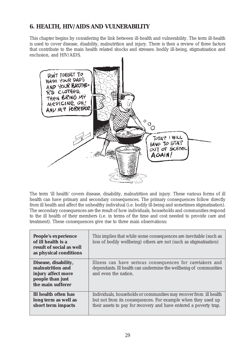## **6. HEALTH, HIV/AIDS AND VULNERABILITY**

This chapter begins by considering the link between ill-health and vulnerability. The term ill-health is used to cover disease, disability, malnutrition and injury. There is then a review of three factors that contribute to the main health related shocks and stresses: bodily ill-being, stigmatisation and exclusion, and HIV/AIDS.



The term 'ill health' covers disease, disability, malnutrition and injury. These various forms of ill health can have primary and secondary consequences. The primary consequences follow directly from ill health and affect the unhealthy individual (i.e. bodily ill-being and sometimes stigmatisation). The secondary consequences are the result of how individuals, households and communities respond to the ill health of their members (i.e. in terms of the time and cost needed to provide care and treatment). These consequences give rise to three main observations:

| People's experience<br>of ill health is a<br>result of social as well<br>as physical conditions         | This implies that while some consequences are inevitable (such as<br>loss of bodily wellbeing) others are not (such as stigmatisation)                                                                  |
|---------------------------------------------------------------------------------------------------------|---------------------------------------------------------------------------------------------------------------------------------------------------------------------------------------------------------|
| Disease, disability,<br>malnutrition and<br>injury affect more<br>people than just<br>the main sufferer | Illness can have serious consequences for caretakers and<br>dependants. Ill health can undermine the wellbeing of communities<br>and even the nation.                                                   |
| Ill health often has<br>long term as well as<br>short term impacts                                      | Individuals, households or communities may recover from ill health<br>but not from its consequences. For example when they used up<br>their assets to pay for recovery and have entered a poverty trap. |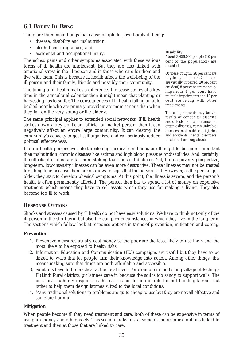## **6.1 BODILY ILL BEING**

There are three main things that cause people to have bodily ill being:

- disease, disability and malnutrition;
- alcohol and drug abuse; and
- accidental and occupational injury.

The aches, pains and other symptoms associated with these various forms of ill health are unpleasant. But they are also linked with emotional stress in the ill person and in those who care for them and live with them. This is because ill health affects the well-being of the ill person and their family, friends and possibly their community.

The timing of ill health makes a difference. If disease strikes at a key time in the agricultural calendar then it might mean that planting or harvesting has to suffer. The consequences of ill health falling on able bodied people who are primary providers are more serious than when they fall on the very young or the elderly.

The same principal applies to extended social networks. If ill health strikes down a key politician, official or market person, then it can negatively affect an entire large community. It can destroy the community's capacity to get itself organised and can seriously reduce political effectiveness.

#### **Disability**

About 3,456,000 people (10 per cent of the population) are disabled.

Of these, roughly 28 per cent are physically impaired; 27 per cent are visually impaired; 20 per cent are deaf; 8 per cent are mentally impaired; 4 per cent have multiple impairments and 13 per cent are living with other impairments.

These impairments may be the results of congenital diseases and defects, non-communicable organic diseases, communicable diseases, malunutrition, injuries and accidents, mental disorders or alcohol or drug abuse.

From a health perspective, life-threatening medical conditions are thought to be more important than malnutrition, chronic diseases like asthma and high blood pressure or disabilities. And, certainly, the effects of cholera are far more striking than those of diabetes. Yet, from a poverty perspective, long-term, low-intensity illnesses can be even more destructive. These illnesses may not be treated for a long time because there are no outward signs that the person is ill. However, as the person gets older, they start to develop physical symptoms. At this point, the illness is severe, and the person's health is often permanently affected. The person then has to spend a lot of money on expensive treatment, which means they have to sell assets which they use for making a living. They also become too ill to work.

### *RESPONSE OPTIONS*

Shocks and stresses caused by ill health do not have easy solutions. We have to think not only of the ill person in the short term but also the complex circumstances in which they live in the long term. The sections which follow look at response options in terms of prevention, mitigation and coping.

### **Prevention**

- 1. Preventive measures usually cost money so the poor are the least likely to use them and the most likely to be exposed to health risks.
- 2. Information Education and Communication (IEC) campaigns are useful but they have to be linked to ways that let people turn their knowledge into action. Among other things, this means making sure that drugs are both affordable and accessible.
- 3. Solutions have to be practical at the local level. For example in the fishing village of Mchinga II (Lindi Rural district), pit latrines cave in because the soil is too sandy to support walls. The best local authority response is this case is not to fine people for not building latrines but rather to help them design latrines suited to the local conditions.
- 4. Many traditional solutions to problems are quite cheap to use but they are not all effective and some are harmful.

### **Mitigation**

When people become ill they need treatment and care. Both of these can be expensive in terms of using up money and other assets. This section looks first at some of the response options linked to treatment and then at those that are linked to care.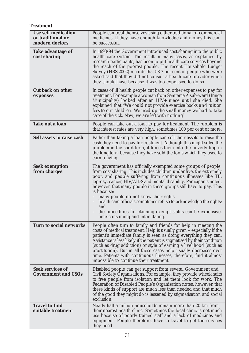**Treatment**

| <b>Use self medication</b><br>or traditional or<br>modern doctors | People can treat themselves using either traditional or commercial<br>medicines. If they have enough knowledge and money this can<br>be successful.                                                                                                                                                                                                                                                                                                                                                                                                                                     |
|-------------------------------------------------------------------|-----------------------------------------------------------------------------------------------------------------------------------------------------------------------------------------------------------------------------------------------------------------------------------------------------------------------------------------------------------------------------------------------------------------------------------------------------------------------------------------------------------------------------------------------------------------------------------------|
| <b>Take advantage of</b><br>cost sharing                          | In 1993/94 the Government introduced cost sharing into the public<br>health care system. The result in many cases, as explained by<br>research participants, has been to put health care services beyond<br>the reach of the poorest people. The recent Household Budget<br>Survey (HBS 2002) records that 58.7 per cent of people who were<br>asked said that they did not consult a health care provider when<br>they should have because it was too expensive to do so.                                                                                                              |
| <b>Cut back on other</b><br>expenses                              | In cases of ill health people cut back on other expenses to pay for<br>treatment. For example a woman from Semtema A sub-ward (Iringa<br>Municipality) looked after an HIV+ niece until she died. She<br>explained that "We could not provide exercise books and tuition<br>fees to our children. We used up the small money we had to take<br>care of the sick. Now, we are left with nothing"                                                                                                                                                                                         |
| <b>Take out a loan</b>                                            | People can take out a loan to pay for treatment. The problem is<br>that interest rates are very high, sometimes 100 per cent or more.                                                                                                                                                                                                                                                                                                                                                                                                                                                   |
| Sell assets to raise cash                                         | Rather than taking a loan people can sell their assets to raise the<br>cash they need to pay for treatment. Although this might solve the<br>problem in the short term, it forces them into the poverty trap in<br>the long term because they have sold the tools which they used to<br>earn a living.                                                                                                                                                                                                                                                                                  |
| <b>Seek exemption</b><br>from charges                             | The government has officially exempted some groups of people<br>from cost sharing. This includes children under five, the extremely<br>poor, and people suffering from continuous illnesses like TB,<br>leprosy, cancer, HIV/AIDS and mental disability. Participants noted,<br>however, that many people in these groups still have to pay. This<br>is because:<br>many people do not know their rights<br>health care officials sometimes refuse to acknowledge the rights;<br>and<br>the procedures for claiming exempt status can be expensive,<br>time-consuming and intimidating. |
| <b>Turn to social networks</b>                                    | People often turn to family and friends for help in meeting the<br>costs of medical treatment. Help is usually given - especially if the<br>patient's immediate family is seen as doing everything they can.<br>Assistance is less likely if the patient is stigmatised by their condition<br>(such as drug addiction) or style of earning a livelihood (such as<br>prostitution). But in all these cases help usually decreases over<br>time. Patients with continuous illnesses, therefore, find it almost<br>impossible to continue their treatment.                                 |
| <b>Seek services of</b><br><b>Government and CSOs</b>             | Disabled people can get support from several Government and<br>Civil Society Organisations. For example, they provide wheelchairs<br>to free people from isolation and let them look for work. The<br>Federation of Disabled People's Organisation notes, however, that<br>these kinds of support are much less than needed and that much<br>of the good they might do is lessened by stigmatisation and social<br>exclusion.                                                                                                                                                           |
| <b>Travel to find</b><br>suitable treatment                       | Nearly half a million households remain more than 20 km from<br>their nearest health clinic. Sometimes the local clinic is not much<br>use because of poorly trained staff and a lack of medicines and<br>equipment. People therefore, have to travel to get the services<br>they need.                                                                                                                                                                                                                                                                                                 |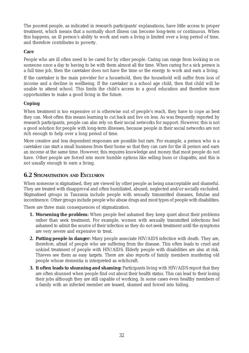The poorest people, as indicated in research participants' explanations, have little access to proper treatment, which means that a normally short illness can become long-term or continuous. When this happens, an ill person's ability to work and earn a living is limited over a long period of time, and therefore contributes to poverty.

### **Care**

People who are ill often need to be cared for by other people. Caring can range from looking in on someone once a day to having to be with them almost all the time. When caring for a sick person is a full time job, then the caretaker does not have the time or the energy to work and earn a living.

If the caretaker is the main provider for a household, then the household will suffer from loss of income and a decline in wellbeing. If the caretaker is a school age child, then that child will be unable to attend school. This limits the child's access to a good education and therefore more opportunities to make a good living in the future.

### **Coping**

When treatment is too expensive or is otherwise out of people's reach, they have to cope as best they can. Most often this means learning to cut back and live on less. As was frequently reported by research participants, people can also rely on their social networks for support. However, this is not a good solution for people with long-term illnesses, because people in their social networks are not rich enough to help over a long period of time.

More creative and less dependent responses are possible but rare. For example, a person who is a caretaker can start a small business from their home so that they can care for the ill person and earn an income at the same time. However, this requires knowledge and money that most people do not have. Other people are forced into more humble options like selling buns or chapattis, and this is not usually enough to earn a living.

### **6.2 STIGMATISATION AND EXCLUSION**

When someone is stigmatised, they are viewed by other people as being unacceptable and shameful. They are treated with disapproval and often humiliated, abused, neglected and/or socially excluded. Stigmatised groups in Tanzania include people with sexually transmitted diseases, fistulae and incontinence. Other groups include people who abuse drugs and most types of people with disabilities.

There are three main consequences of stigmatization.

- **1. Worsening the problem:** When people feel ashamed they keep quiet about their problems rather than seek treatment. For example, women with sexually transmitted infections feel ashamed to admit the source of their infection so they do not seek treatment until the symptoms are very severe and expensive to treat.
- **2. Putting people in danger:** Many people associate HIV/AIDS infection with death. They are, therefore, afraid of people who are suffering from the disease. This often leads to cruel and unkind treatment of people with HIV/AIDS. Elderly people with disabilities are also at risk. Thieves see them as easy targets. There are also reports of family members murdering old people whose dementia is interpreted as witchcraft.
- **3. It often leads to shunning and shaming:** Participants living with HIV/AIDS report that they are often shunned when people find out about their health status. This can lead to their losing their jobs although they are still capable of working. In some cases even healthy members of a family with an infected member are teased, shamed and forced into hiding.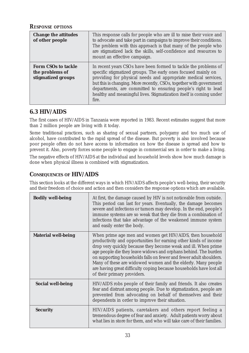### *RESPONSE OPTIONS*

| <b>Change the attitudes</b><br>of other people                      | This response calls for people who are ill to raise their voice and<br>to advocate and take part in campaigns to improve their conditions.<br>The problem with this approach is that many of the people who<br>are stigmatized lack the skills, self-confidence and resources to<br>mount an effective campaign.                                                                                                           |
|---------------------------------------------------------------------|----------------------------------------------------------------------------------------------------------------------------------------------------------------------------------------------------------------------------------------------------------------------------------------------------------------------------------------------------------------------------------------------------------------------------|
| <b>Form CSOs to tackle</b><br>the problems of<br>stigmatized groups | In recent years CSOs have been formed to tackle the problems of<br>specific stigmatized groups. The early ones focused mainly on<br>providing for physical needs and appropriate medical services,<br>but this is changing. More recently, CSOs, together with government<br>departments, are committed to ensuring people's right to lead<br>healthy and meaningful lives. Stigmatization itself is coming under<br>fire. |

## **6.3 HIV/AIDS**

The first cases of HIV/AIDS in Tanzania were reported in 1983. Recent estimates suggest that more than 2 million people are living with it today.

Some traditional practices, such as sharing of sexual partners, polygamy and too much use of alcohol, have contributed to the rapid spread of the disease. But poverty is also involved because poor people often do not have access to information on how the disease is spread and how to prevent it. Also, poverty forces some people to engage in commercial sex in order to make a living.

The negative effects of HIV/AIDS at the individual and household levels show how much damage is done when physical illness is combined with stigmatization.

## **CONSEQUENCES OF HIV/AIDS**

This section looks at the different ways in which HIV/AIDS affects people's well-being, their security and their freedom of choice and action and then considers the response options which are available.

| <b>Bodily well-being</b>   | At first, the damage caused by HIV is not noticeable from outside.<br>This period can last for years. Eventually, the damage becomes<br>severe and infections or tumors may develop. In the end, people's<br>immune systems are so weak that they die from a combination of<br>infections that take advantage of the weakened immune system<br>and easily enter the body.                                                                                                                                      |
|----------------------------|----------------------------------------------------------------------------------------------------------------------------------------------------------------------------------------------------------------------------------------------------------------------------------------------------------------------------------------------------------------------------------------------------------------------------------------------------------------------------------------------------------------|
| <b>Material well-being</b> | When prime age men and women get HIV/AIDS, then household<br>productivity and opportunities for earning other kinds of income<br>drop very quickly because they become weak and ill. When prime<br>age people die they leave widows and orphans behind. The burden<br>on supporting households falls on fewer and fewer adult shoulders.<br>Many of these are widowed women and the elderly. Many people<br>are having great difficulty coping because households have lost all<br>of their primary providers. |
| <b>Social well-being</b>   | HIV/AIDS robs people of their family and friends. It also creates<br>fear and distrust among people. Due to stigmatization, people are<br>prevented from advocating on behalf of themselves and their<br>dependents in order to improve their situation.                                                                                                                                                                                                                                                       |
| <b>Security</b>            | HIV/AIDS patients, caretakers and others report feeling a<br>tremendous degree of fear and anxiety. Adult patients worry about<br>what lies in store for them, and who will take care of their families.                                                                                                                                                                                                                                                                                                       |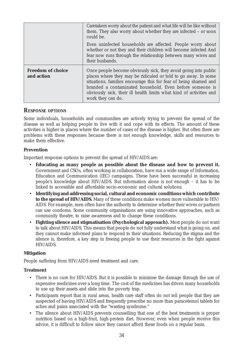|                                        | Caretakers worry about the patient and what life will be like without<br>them. They also worry about whether they are infected - or soon<br>could be.                                                                                                                                                                                                         |
|----------------------------------------|---------------------------------------------------------------------------------------------------------------------------------------------------------------------------------------------------------------------------------------------------------------------------------------------------------------------------------------------------------------|
|                                        | Even uninfected households are affected. People worry about<br>whether or not they and their children will become infected And<br>fear now runs through the relationship between many wives and<br>their husbands.                                                                                                                                            |
| <b>Freedom of choice</b><br>and action | Once people become obviously sick, they avoid going into public<br>places where they may be ridiculed or told to go away. In some<br>situations, families encourage this for fear of being shamed and<br>branded a contaminated household. Even before someone is<br>obviously sick, their ill health limits what kind of activities and<br>work they can do. |

### *RESPONSE OPTIONS*

Some individuals, households and communities are actively trying to prevent the spread of the disease as well as helping people to live with it and cope with its effects. The amount of these activities is higher in places where the number of cases of the disease is higher. But often there are problems with these responses because there is not enough knowledge, skills and resources to make them effective.

### **Prevention**

Important response options to prevent the spread of HIV/AIDS are:

- **Educating as many people as possible about the disease and how to prevent it.** Government and CSOs, often working in collaboration, have run a wide range of Information, Education and Communication (IEC) campaigns. These have been successful in increasing people's knowledge about HIV/AIDS. But information alone is not enough – it has to be linked to accessible and affordable socio-economic and cultural solutions.
- **Identifying and addressing social, cultural and economic conditions which contribute to the spread of HIV/AIDS.** Many of these conditions make women more vulnerable to HIV/ AIDS. For example, men often have the authority to determine whether their wives or partners can use condoms. Some community organisations are using innovative approaches, such as community theatre, to raise awareness and to change these conditions.
- **Fighting silence and stigmatisation (Psychological approach).** Most people do not want to talk about HIV/AIDS. This means that people do not fully understand what is going on, and they cannot make informed plans to respond to their situations. Reducing the stigma and the silence is, therefore, a key step in freeing people to use their resources in the fight against HIV/AIDS.

### **Mitigation**

People suffering from HIV/AIDS need treatment and care.

### **Treatment**

- There is no cure for HIV/AIDS. But it is possible to minimise the damage through the use of expensive medicines over a long time. The cost of the medicines has driven many households to use up their assets and slide into the poverty trap.
- Participants report that in rural areas, health care staff often do not tell people that they are suspected of having HIV/AIDS and frequently prescribe no more than paracetemol tablets for aches and pains associated with the "wasting syndrome."
- The silence about HIV/AIDS prevents counselling that one of the best treatments is proper nutrition based on a high-fruit, high-protein diet. However, even when people receive this advice, it is difficult to follow since they cannot afford these foods on a regular basis.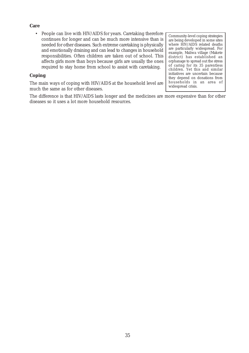#### **Care**

• People can live with HIV/AIDS for years. Caretaking therefore continues for longer and can be much more intensive than is needed for other diseases. Such extreme caretaking is physically and emotionally draining and can lead to changes in household responsibilities. Often children are taken out of school. This affects girls more than boys because girls are usually the ones required to stay home from school to assist with caretaking.

### **Coping**

The main ways of coping with HIV/AIDS at the household level are much the same as for other diseases.

The difference is that HIV/AIDS lasts longer and the medicines are more expensive than for other diseases so it uses a lot more household resources.

Community-level coping strategies are being developed in some sites where HIV/AIDS related deaths are particularly widespread. For example, Maliwa village (Makete district) has established an orphanage to spread out the stress of caring for its 35 parentless children. Yet this and similar initiatives are uncertain because they depend on donations from households in an area of widespread crisis.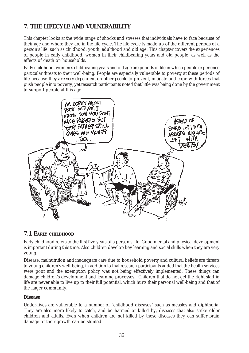# **7. THE LIFECYLE AND VULNERABILITY**

This chapter looks at the wide range of shocks and stresses that individuals have to face because of their age and where they are in the life cycle. The life cycle is made up of the different periods of a person's life, such as childhood, youth, adulthood and old age. This chapter covers the experiences of people in early childhood, women in their childbearing years and old people, as well as the effects of death on households.

Early childhood, women's childbearing years and old age are periods of life in which people experience particular threats to their well-being. People are especially vulnerable to poverty at these periods of life because *they are very dependent on other people* to prevent, mitigate and cope with forces that push people into poverty, yet research participants noted that little was being done by the government to support people at this age.



## **7.1 EARLY CHILDHOOD**

Early childhood refers to the first five years of a person's life. Good mental and physical development is important during this time. Also children develop key learning and social skills when they are very young.

Disease, malnutrition and inadequate care due to household poverty and cultural beliefs are threats to young children's well-being, in addition to that research participants added that the health services were poor and the exemption policy was not being effectively implemented. These things can damage children's development and learning processes. Children that do not get the right start in life are never able to live up to their full potential, which hurts their personal well-being and that of the larger community.

### **Disease**

Under-fives are vulnerable to a number of "childhood diseases" such as measles and diphtheria. They are also more likely to catch, and be harmed or killed by, diseases that also strike older children and adults. Even when children are not killed by these diseases they can suffer brain damage or their growth can be stunted.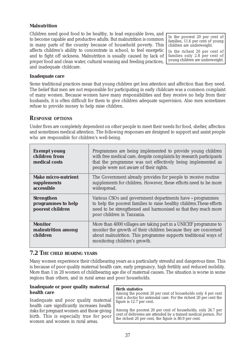### **Malnutrition**

Children need good food to be healthy, to lead enjoyable lives, and to become capable and productive adults. But malnutrition is common in many parts of the country because of household poverty. This affects children's ability to concentrate in school, to feel energetic and to fight off sickness. Malnutrition is usually caused by lack of proper food and clean water, cultural weaning and feeding practices, and inadequate childcare.

In the poorest 20 per cent of families, 11.6 per cent of young children are underweight.

In the richest 20 per cent of families only 2.8 per cent of young children are underweight.

#### **Inadequate care**

Some traditional practices mean that young children get less attention and affection than they need. The belief that men are not responsible for participating in early childcare was a common complaint of many women. Because women have many responsibilities and they receive no help from their husbands, it is often difficult for them to give children adequate supervision. Also men sometimes refuse to provide money to help raise children.

### *RESPONSE OPTIONS*

Under fives are completely dependent on other people to meet their needs for food, shelter, affection and sometimes medical attention. The following responses are designed to support and assist people who are responsible for children's well-being.

| <b>Exempt young</b><br>children from<br>medical costs       | Programmes are being implemented to provide young children<br>with free medical care, despite complaints by research participants<br>that the programme was not effectively being implemented as<br>people were not aware of their rights. |
|-------------------------------------------------------------|--------------------------------------------------------------------------------------------------------------------------------------------------------------------------------------------------------------------------------------------|
| <b>Make micro-nutrient</b><br>supplements<br>accessible     | The Government already provides for people to receive routine<br>supplements for children. However, these efforts need to be more<br>widespread.                                                                                           |
| <b>Strengthen</b><br>programmes to help<br>poorest children | Various CSOs and government departments have - programmes<br>to help the poorest families to raise healthy children. These efforts<br>need to be strengthened and harmonised so that they reach more<br>poor children in Tanzania.         |
| <b>Monitor</b><br>malnutrition among<br>children            | More than 4000 villages are taking part in a UNICEF programme to<br>monitor the growth of their children because they are concerned<br>about malnutrition. This programme supports traditional ways of<br>monitoring children's growth.    |

### **7.2 THE CHILD BEARING YEARS**

Many women experience their childbearing years as a particularly stressful and dangerous time. This is because of poor quality maternal health care, early pregnancy, high fertility and reduced mobility. More than 1 in 20 women of childbearing age die of maternal causes. The situation is worse in some regions than others, and in rural areas and poor households.

#### **Inadequate or poor quality maternal health care**

Inadequate and poor quality maternal health care significantly increases health risks for pregnant women and those giving birth. This is especially true for poor women and women in rural areas.

#### **Birth statistics**

Among the poorest 20 per cent of households only 4 per cent visit a doctor for antenatal care. For the richest 20 per cent the figure is 12.7 per cent.

Among the poorest 20 per cent of households, only 26.7 per cent of deliveries are attended by a trained medical person. For the richest 20 per cent, the figure is 80.9 per cent.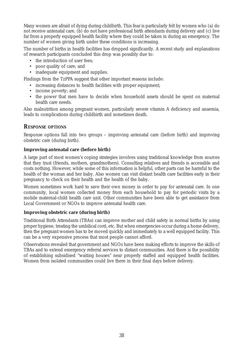Many women are afraid of dying during childbirth. This fear is particularly felt by women who (a) do not receive antenatal care, (b) do not have professional birth attendants during delivery and (c) live far from a properly equipped health facility where they could be taken in during an emergency. The number of women giving birth under these conditions is increasing.

The number of births in health facilities has dropped significantly. A recent study and explanations of research participants concluded this drop was possibly due to:

- the introduction of user fees;
- poor quality of care; and
- inadequate equipment and supplies.

Findings from the TzPPA suggest that other important reasons include:

- increasing distances to health facilities with proper equipment;
- income poverty; and
- the power that men have to decide when household assets should be spent on maternal health care needs.

Also malnutrition among pregnant women, particularly severe vitamin A deficiency and anaemia, leads to complications during childbirth and sometimes death.

### *RESPONSE OPTIONS*

Response options fall into two groups – improving antenatal care (before birth) and improving obstetric care (during birth).

### **Improving antenatal care (before birth)**

A large part of most women's coping strategies involves using traditional knowledge from sources that they trust (friends, mothers, grandmothers). Consulting relatives and friends is accessible and costs nothing. However, while some of this information is helpful, other parts can be harmful to the health of the woman and her baby. Also women can visit distant health care facilities early in their pregnancy to check on their health and the health of the baby.

Women sometimes work hard to save their own money in order to pay for antenatal care. In one community, local women collected money from each household to pay for periodic visits by a mobile maternal-child health care unit. Other communities have been able to get assistance from Local Government or NGOs to improve antenatal health care.

#### **Improving obstetric care (during birth)**

Traditional Birth Attendants (TBAs) can improve mother and child safety in normal births by using proper hygiene, treating the umbilical cord, etc. But when emergencies occur during a home delivery, then the pregnant women has to be moved quickly and immediately to a well equipped facility. This can be a very expensive process that most people cannot afford.

Observations revealed that government and NGOs have been making efforts to improve the skills of TBAs and to extend emergency referral services to distant communities. And there is the possibility of establishing subsidised "waiting houses" near properly staffed and equipped health facilities. Women from isolated communities could live there in their final days before delivery.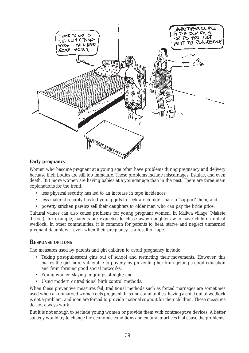

### **Early pregnancy**

Women who become pregnant at a young age often have problems during pregnancy and delivery because their bodies are still too immature. These problems include miscarriages, fistulae, and even death. But more women are having babies at a younger age than in the past. There are three main explanations for the trend:

- less physical security has led to an increase in rape incidences;
- less material security has led young girls to seek a rich older man to 'support' them; and
- poverty stricken parents sell their daughters to older men who can pay the bride price.

Cultural values can also cause problems for young pregnant women. In Maliwa village (Makete district), for example, parents are expected to chase away daughters who have children out of wedlock. In other communities, it is common for parents to beat, starve and neglect unmarried pregnant daughters – even when their pregnancy is a result of rape.

### *RESPONSE OPTIONS*

The measures used by parents and girl children to avoid pregnancy include:

- Taking post-pubescent girls out of school and restricting their movements. However, this makes the girl more vulnerable to poverty by preventing her from getting a good education and from forming good social networks;
- Young women staying in groups at night; and
- Using modern or traditional birth control methods.

When these preventive measures fail, traditional methods such as forced marriages are sometimes used when an unmarried woman gets pregnant. In some communities, having a child out of wedlock is not a problem, and men are forced to provide material support for their children. These measures do not always work.

But it is not enough to seclude young women or provide them with contraceptive devices. A better strategy would try to change the economic conditions and cultural practices that cause the problems.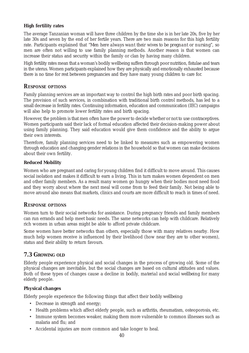### **High fertility rates**

The average Tanzanian woman will have three children by the time she is in her late 20s, five by her late 30s and seven by the end of her fertile years. There are two main reasons for this high fertility rate. Participants explained that "*Men here always want their wives to be pregnant or nursing*", so men are often not willing to use family planning methods. Another reason is that women can increase their status and security within the family or clan by having many children.

High fertility rates mean that a woman's bodily wellbeing suffers through poor nutrition, fistulae and tears in the uterus. Women participants explained how they are physically and emotionally exhausted because there is no time for rest between pregnancies and they have many young children to care for.

### *RESPONSE OPTIONS*

Family planning services are an important way to control the high birth rates and poor birth spacing. The provision of such services, in combination with traditional birth control methods, has led to a small decrease in fertility rates. Continuing information, education and communication (IEC) campaigns will also help to promote lower fertility rates and birth spacing.

However, the problem is that men often have the power to decide whether or not to use contraceptives. Women participants said their lack of formal education affected their decision-making power about using family planning. They said education would give them confidence and the ability to argue their own interests.

Therefore, family planning services need to be linked to measures such as empowering women through education and changing gender relations in the household so that women can make decisions about their own fertility.

### **Reduced Mobility**

Women who are pregnant and caring for young children find it difficult to move around. This causes social isolation and makes it difficult to earn a living. This in turn makes women dependent on men and other family members. As a result many women go hungry when their bodies most need food and they worry about where the next meal will come from to feed their family. Not being able to move around also means that markets, clinics and courts are more difficult to reach in times of need.

### *RESPONSE OPTIONS*

Women turn to their social networks for assistance. During pregnancy friends and family members can run errands and help meet basic needs. The same networks can help with childcare. Relatively rich women in urban areas might be able to afford private childcare.

Some women have better networks than others, especially those with many relatives nearby. How much help women receive is influenced by their livelihood (how near they are to other women), status and their ability to return favours.

### **7.3 GROWING OLD**

Elderly people experience physical and social changes in the process of growing old. Some of the physical changes are inevitable, but the social changes are based on cultural attitudes and values. Both of these types of changes cause a decline in *bodily, material and social wellbeing* for many elderly people.

### **Physical changes**

Elderly people experience the following things that affect their *bodily wellbeing:*

- Decrease in strength and energy;
- Health problems which affect elderly people, such as arthritis, rheumatism, osteoporosis, etc.
- Immune system becomes weaker, making them more vulnerable to common illnesses such as malaria and flu; and
- Accidental injuries are more common and take longer to heal.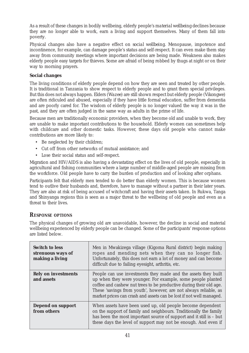As a result of these changes in bodily wellbeing, elderly people's *material wellbeing* declines because they are no longer able to work, earn a living and support themselves. Many of them fall into poverty.

Physical changes also have a negative effect on *social wellbeing*. Menopause, impotence and incontinence, for example, can damage people's status and self-respect. It can even make them stay away from community meetings where important decisions are being made. Weakness also makes elderly people easy targets for thieves. Some are afraid of being robbed by thugs at night or on their way to morning prayers.

### **Social changes**

The living conditions of elderly people depend on how they are seen and treated by other people. It is traditional in Tanzania to show respect to elderly people and to grant them special privileges. But this does not always happen. Elders (*Wazee*) are still shown respect but elderly people (*Vikongwe*) are often ridiculed and abused, especially if they have little formal education, suffer from dementia and are poorly cared for. The wisdom of elderly people is no longer valued the way it was in the past, and they are often judged in the same way as adults in the prime of life.

Because men are traditionally economic providers, when they become old and unable to work, they are unable to make important contributions to the household. Elderly women can sometimes help with childcare and other domestic tasks. However, these days old people who cannot make contributions are more likely to:

- Be neglected by their children;
- Cut off from other networks of mutual assistance; and
- Lose their social status and self-respect.

Migration and HIV/AIDS is also having a devastating effect on the lives of old people, especially in agricultural and fishing communities where a large number of middle-aged people are missing from the workforce. Old people have to carry the burden of production and of looking after orphans.

Participants felt that elderly men tended to do better than elderly women. This is because women tend to outlive their husbands and, therefore, have to manage without a partner in their later years. They are also at risk of being accused of witchcraft and having their assets taken. In Rukwa, Tanga and Shinyanga regions this is seen as a major threat to the wellbeing of old people and even as a threat to their lives.

### *RESPONSE OPTIONS*

The physical changes of growing old are unavoidable, however, the decline in social and material wellbeing experienced by elderly people can be changed. Some of the participants' response options are listed below.

| <b>Switch to less</b><br>strenuous ways of<br>making a living | Men in Mwakizega village (Kigoma Rural district) begin making<br>ropes and mending nets when they can no longer fish.<br>Unfortunately, this does not earn a lot of money and can become<br>difficult due to failing eyesight, arthritis, etc.                                                                                                 |
|---------------------------------------------------------------|------------------------------------------------------------------------------------------------------------------------------------------------------------------------------------------------------------------------------------------------------------------------------------------------------------------------------------------------|
| <b>Rely on investments</b><br>and assets                      | People can use investments they made and the assets they built<br>up when they were younger. For example, some people planted<br>coffee and cashew nut trees to be productive during their old age.<br>These 'savings from youth', however, are not always reliable, as<br>market prices can crash and assets can be lost if not well managed. |
| <b>Depend on support</b><br>from others                       | When assets have been used up, old people become dependent<br>on the support of family and neighbours. Traditionally the family<br>has been the most important source of support and it still is - but<br>these days the level of support may not be enough. And even if                                                                       |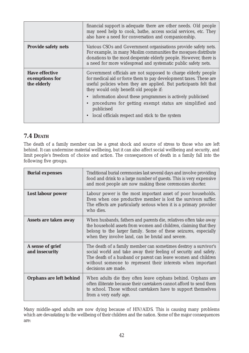|                                                        | financial support is adequate there are other needs. Old people<br>may need help to cook, bathe, access social services, etc. They<br>also have a need for conversation and companionship.                                                                                                                                                                                                 |
|--------------------------------------------------------|--------------------------------------------------------------------------------------------------------------------------------------------------------------------------------------------------------------------------------------------------------------------------------------------------------------------------------------------------------------------------------------------|
| <b>Provide safety nets</b>                             | Various CSOs and Government organisations provide safety nets.<br>For example, in many Muslim communities the mosques distribute<br>donations to the most desperate elderly people. However, there is<br>a need for more widespread and systematic public safety nets.                                                                                                                     |
| <b>Have effective</b><br>exemptions for<br>the elderly | Government officials are not supposed to charge elderly people<br>for medical aid or force them to pay development taxes. These are<br>useful policies when they are applied. But participants felt that<br>they would only benefit old people if:<br>• information about these programmes is actively publicised<br>procedures for getting exempt status are simplified and<br>publicised |
|                                                        | local officials respect and stick to the system                                                                                                                                                                                                                                                                                                                                            |

## **7.4 DEATH**

The death of a family member can be a great shock and source of stress to those who are left behind. It can undermine material wellbeing, but it can also affect social wellbeing and security, and limit people's freedom of choice and action. The consequences of death in a family fall into the following five groups.

| <b>Burial expenses</b>             | Traditional burial ceremonies last several days and involve providing<br>food and drink to a large number of guests. This is very expensive<br>and most people are now making these ceremonies shorter.                                                                                    |
|------------------------------------|--------------------------------------------------------------------------------------------------------------------------------------------------------------------------------------------------------------------------------------------------------------------------------------------|
| Lost labour power                  | Labour power is the most important asset of poor households.<br>Even when one productive member is lost the survivors suffer.<br>The effects are particularly serious when it is a primary provider<br>who dies.                                                                           |
| Assets are taken away              | When husbands, fathers and parents die, relatives often take away<br>the household assets from women and children, claiming that they<br>belong to the larger family. Some of these seizures, especially<br>when they involve land, can be brutal and severe.                              |
| A sense of grief<br>and insecurity | The death of a family member can sometimes destroy a survivor's<br>social world and take away their feeling of security and safety.<br>The death of a husband or parent can leave women and children<br>without someone to represent their interests when important<br>decisions are made. |
| Orphans are left behind            | When adults die they often leave orphans behind. Orphans are<br>often illiterate because their caretakers cannot afford to send them<br>to school. Those without caretakers have to support themselves<br>from a very early age.                                                           |

Many middle-aged adults are now dying because of HIV/AIDS. This is causing many problems which are devastating to the wellbeing of their children and the nation. Some of the major consequences are: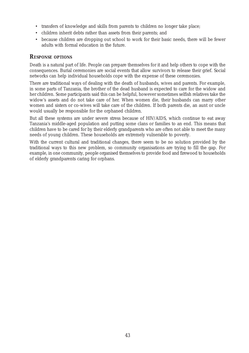- transfers of knowledge and skills from parents to children no longer take place;
- children inherit debts rather than assets from their parents; and
- because children are dropping out school to work for their basic needs, there will be fewer adults with formal education in the future.

### *RESPONSE OPTIONS*

Death is a natural part of life. People can prepare themselves for it and help others to cope with the consequences. Burial ceremonies are social events that allow survivors to release their grief. Social networks can help individual households cope with the expense of these ceremonies.

There are traditional ways of dealing with the death of husbands, wives and parents. For example, in some parts of Tanzania, the brother of the dead husband is expected to care for the widow and her children. Some participants said this can be helpful, however sometimes selfish relatives take the widow's assets and do not take care of her. When women die, their husbands can marry other women and sisters or co-wives will take care of the children. If both parents die, an aunt or uncle would usually be responsible for the orphaned children.

But all these systems are under severe stress because of HIV/AIDS, which continue to eat away Tanzania's middle-aged population and putting some clans or families to an end. This means that children have to be cared for by their elderly grandparents who are often not able to meet the many needs of young children. These households are extremely vulnerable to poverty.

With the current cultural and traditional changes, there seem to be no solution provided by the traditional ways to this new problem, so community organisations are trying to fill the gap. For example, in one community, people organised themselves to provide food and firewood to households of elderly grandparents caring for orphans.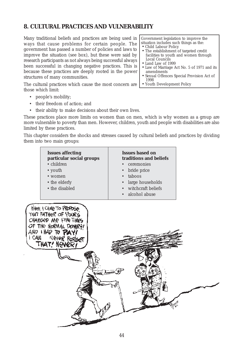## **8. CULTURAL PRACTICES AND VULNERABILITY**

Many traditional beliefs and practices are being used in ways that cause problems for certain people. The government has passed a number of policies and laws to improve the situation (see box), but these were said by research participants as not always being successful always been successful in changing negative practices. This is because these practices are deeply rooted in the power structures of many communities.

The cultural practices which cause the most concern are those which limit:

- people's mobility;
- their freedom of action; and
- their ability to make decisions about their own lives.

These practices place more limits on women than on men, which is why women as a group are more vulnerable to poverty than men. However, children, youth and people with disabilities are also limited by these practices.

This chapter considers the shocks and stresses caused by cultural beliefs and practices by dividing them into two main groups:



Government legislation to improve the situation includes such things as the:

- Child Labour Policy
- The establishment of targeted credit facilities to youth and women through Local Councils
- Land Law of 1999
- Law of Marriage Act No. 5 of 1971 and its amendments
- Sexual Offences Special Provision Act of 1998
- Youth Development Policy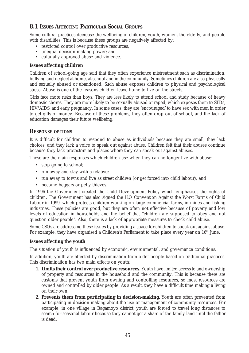## **8.1 ISSUES AFFECTING PARTICULAR SOCIAL GROUPS**

Some cultural practices decrease the wellbeing of children, youth, women, the elderly, and people with disabilities. This is because these groups are negatively affected by:

- restricted control over productive resources;
- unequal decision making power; and
- culturally approved abuse and violence.

### **Issues affecting children**

Children of school-going age said that they often experience mistreatment such as discrimination, bullying and neglect at home, at school and in the community. Sometimes children are also physically and sexually abused or abandoned. Such abuse exposes children to physical and psychological stress. Abuse is one of the reasons children leave home to live on the streets.

Girls face more risks than boys. They are less likely to attend school and study because of heavy domestic chores. They are more likely to be sexually abused or raped, which exposes them to STDs, HIV/AIDS, and early pregnancy. In some cases, they are 'encouraged' to have sex with men in order to get gifts or money. Because of these problems, they often drop out of school, and the lack of education damages their future wellbeing.

### *RESPONSE OPTIONS*

It is difficult for children to respond to abuse as individuals because they are small, they lack choices, and they lack a voice to speak out against abuse. Children felt that their abuses continue because they lack protectors and places where they can speak out against abuses.

These are the main responses which children use when they can no longer live with abuse:

- stop going to school;
- run away and stay with a relative;
- run away to towns and live as street children (or get forced into child labour); and
- become beggars or petty thieves.

In 1996 the Government created the Child Development Policy which emphasises the rights of children. The Government has also signed the ILO Convention Against the Worst Forms of Child Labour in 1999, which protects children working on large commercial farms, in mines and fishing industries. These policies are good, but they are often not effective because of poverty and low levels of education in households and the belief that "children are supposed to obey and not question older people". Also, there is a lack of appropriate measures to check child abuse.

Some CSOs are addressing these issues by providing a space for children to speak out against abuse. For example, they have organised a Children's Parliament to take place every year on  $16<sup>th</sup>$  June.

### **Issues affecting the youth**

The situation of youth is influenced by economic, environmental, and governance conditions.

In addition, youth are affected by discrimination from older people based on traditional practices. This discrimination has two main effects on youth:

- **1. Limits their control over productive resources.** Youth have limited access to and ownership of property and resources in the household and the community. This is because there are customs that prevent youth from owning and controlling resources, so most resources are owned and controlled by older people. As a result, they have a difficult time making a living on their own.
- **2. Prevents them from participating in decision-making.** Youth are often prevented from participating in decision-making about the use or management of community resources. For example, in one village in Bagamoyo district, youth are forced to travel long distances to search for seasonal labour because they cannot get a share of the family land until the father is dead.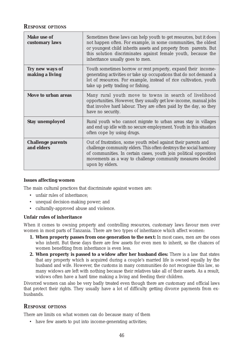### *RESPONSE OPTIONS*

| <b>Make use of</b><br>customary laws   | Sometimes these laws can help youth to get resources, but it does<br>not happen often. For example, in some communities, the oldest<br>or youngest child inherits assets and property from parents. But<br>this solution discriminates against female youth, because the<br>inheritance usually goes to men. |
|----------------------------------------|--------------------------------------------------------------------------------------------------------------------------------------------------------------------------------------------------------------------------------------------------------------------------------------------------------------|
| Try new ways of<br>making a living     | Youth sometimes borrow or rent property, expand their income-<br>generating activities or take up occupations that do not demand a<br>lot of resources. For example, instead of rice cultivation, youth<br>take up petty trading or fishing.                                                                 |
| Move to urban areas                    | Many rural youth move to towns in search of livelihood<br>opportunities. However, they usually get low-income, manual jobs<br>that involve hard labour. They are often paid by the day, so they<br>have no security.                                                                                         |
| <b>Stay unemployed</b>                 | Rural youth who cannot migrate to urban areas stay in villages<br>and end up idle with no secure employment. Youth in this situation<br>often cope by using drugs.                                                                                                                                           |
| <b>Challenge parents</b><br>and elders | Out of frustration, some youth rebel against their parents and<br>challenge community elders. This often destroys the social harmony<br>of communities. In certain cases, youth join political opposition<br>movements as a way to challenge community measures decided<br>upon by elders.                   |

#### **Issues affecting women**

The main cultural practices that discriminate against women are:

- unfair rules of inheritance;
- unequal decision-making power; and
- culturally-approved abuse and violence.

#### **Unfair rules of inheritance**

When it comes to owning property and controlling resources, customary laws favour men over women in most parts of Tanzania. There are two types of inheritance which affect women:

- **1. When property passes from one generation to the next:** In most cases, men are the ones who inherit. But these days there are few assets for even men to inherit, so the chances of women benefiting from inheritance is even less.
- **2. When property is passed to a widow after her husband dies:** There is a law that states that any property which is acquired during a couple's married life is owned equally by the husband and wife. However, the customs in many communities do not recognise this law, so many widows are left with nothing because their relatives take all of their assets. As a result, widows often have a hard time making a living and feeding their children.

Divorced women can also be very badly treated even though there are customary and official laws that protect their rights. They usually have a lot of difficulty getting divorce payments from exhusbands.

### *RESPONSE OPTIONS*

There are limits on what women can do because many of them

• have few assets to put into income-generating activities;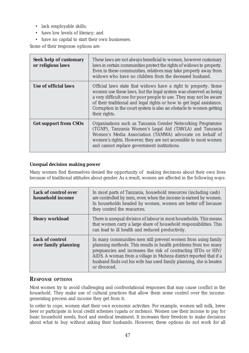- lack employable skills;
- have low levels of literacy; and
- have no capital to start their own businesses.

Some of their response options are:

| <b>Seek help of customary</b><br>or religious laws | These laws are not always beneficial to women, however customary<br>laws in certain communities protect the rights of widows to property.<br>Even in these communities, relatives may take property away from<br>widows who have no children from the deceased husband.                                                                                                   |
|----------------------------------------------------|---------------------------------------------------------------------------------------------------------------------------------------------------------------------------------------------------------------------------------------------------------------------------------------------------------------------------------------------------------------------------|
| <b>Use of official laws</b>                        | Official laws state that widows have a right to property. Some<br>women use these laws, but the legal system was observed as being<br>a very difficult one for poor people to use. They may not be aware<br>of their traditional and legal rights or how to get legal assistance.<br>Corruption in the court system is also an obstacle to women getting<br>their rights. |
| <b>Get support from CSOs</b>                       | Organisations such as Tanzania Gender Networking Programme<br>(TGNP), Tanzania Women's Legal Aid (TAWLA) and Tanzania<br>Women's Media Association (TAMWA) advocate on behalf of<br>women's rights. However, they are not accessible to most women<br>and cannot replace government institutions.                                                                         |

### **Unequal decision making power**

Many women find themselves denied the opportunity of making decisions about their own lives because of traditional attitudes about gender. As a result, women are affected in the following ways:

| <b>Lack of control over</b><br>household income | In most parts of Tanzania, household resources (including cash)<br>are controlled by men, even when the income is earned by women.<br>In households headed by women, women are better off because<br>they control the resources.                                                                                                                               |
|-------------------------------------------------|----------------------------------------------------------------------------------------------------------------------------------------------------------------------------------------------------------------------------------------------------------------------------------------------------------------------------------------------------------------|
| <b>Heavy workload</b>                           | There is unequal division of labour in most households. This means<br>that women carry a large share of household responsibilities. This<br>can lead to ill health and reduced productivity.                                                                                                                                                                   |
| <b>Lack of control</b><br>over family planning  | In many communities men still prevent women from using family<br>planning methods. This results in health problems from too many<br>pregnancies and increases the risk of contracting STDs or HIV/<br>AIDS. A woman from a village in Muheza district reported that if a<br>husband finds out his wife has used family planning, she is beaten<br>or divorced. |

### *RESPONSE OPTIONS*

Most women try to avoid challenging and confrontational responses that may cause conflict in the household. They make use of cultural practices that allow them some control over the incomegenerating process and income they get from it.

In order to cope, women start their own economic activities. For example, women sell milk, brew beer or participate in local credit schemes (*upatu* or *mchezo*). Women use their income to pay for basic household needs, food and medical treatment. It increases their freedom to make decisions about what to buy without asking their husbands. However, these options do not work for all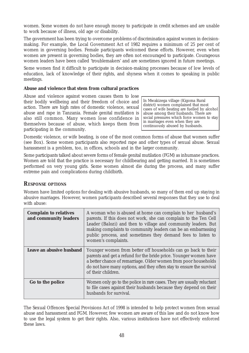women. Some women do not have enough money to participate in credit schemes and are unable to work because of illness, old age or disability.

The government has been trying to overcome problems of discrimination against women in decisionmaking. For example, the Local Government Act of 1982 requires a minimum of 25 per cent of women in governing bodies. Female participants welcomed these efforts. However, even when women are present in governing bodies, they are often not encouraged to participate. Courageous women leaders have been called 'troublemakers' and are sometimes ignored in future meetings.

Some women find it difficult to participate in decision-making processes because of low levels of education, lack of knowledge of their rights, and shyness when it comes to speaking in public meetings.

#### **Abuse and violence that stem from cultural practices**

Abuse and violence against women causes them to lose their bodily wellbeing and their freedom of choice and action. There are high rates of domestic violence, sexual abuse and rape in Tanzania. Female genital mutilation is also still common. Many women lose confidence in themselves because of abuse, which keeps them from participating in the community.

In Mwakizega village (Kigoma Rural district) women complained that most cases of wife beating are fuelled by alcohol abuse among their husbands. There are social pressures which force women to stay in marriages even when they are continuously abused by husbands.

Domestic violence, or wife beating, is one of the most common forms of abuse that women suffer (see Box). Some women participants also reported rape and other types of sexual abuse. Sexual harassment is a problem, too, in offices, schools and in the larger community.

Some participants talked about severe forms of female genital mutilation (FGM) as inhumane practices. Women are told that the practice is necessary for childbearing and getting married. It is sometimes performed on very young girls. Some women almost die during the process, and many suffer extreme pain and complications during childbirth.

### *RESPONSE OPTIONS*

Women have limited options for dealing with abusive husbands, so many of them end up staying in abusive marriages. However, women participants described several responses that they use to deal with abuse:

| <b>Complain to relatives</b><br>and community leaders | A woman who is abused at home can complain to her husband's<br>parents. If this does not work, she can complain to the Ten Cell<br>Leader (Balozi) and then to village and community leaders. But<br>making complaints to community leaders can be an embarrassing<br>public process, and sometimes they demand fees to listen to<br>women's complaints. |
|-------------------------------------------------------|----------------------------------------------------------------------------------------------------------------------------------------------------------------------------------------------------------------------------------------------------------------------------------------------------------------------------------------------------------|
| Leave an abusive husband                              | Younger women from better off households can go back to their<br>parents and get a refund for the bride price. Younger women have<br>a better chance of remarriage. Older women from poor households<br>do not have many options, and they often stay to ensure the survival<br>of their children.                                                       |
| Go to the police                                      | Women only go to the police in rare cases. They are usually reluctant<br>to file cases against their husbands because they depend on their<br>husbands for survival.                                                                                                                                                                                     |

The Sexual Offences Special Provisions Act of 1998 is intended to help protect women from sexual abuse and harassment and FGM. However, few women are aware of this law and do not know how to use the legal system to get their rights. Also, various institutions have not effectively enforced these laws.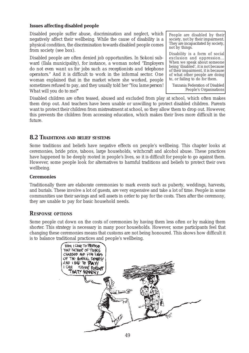### **Issues affecting disabled people**

Disabled people suffer abuse, discrimination and neglect, which negatively affect their wellbeing. While the cause of disability is a physical condition, the discrimination towards disabled people comes from society (see box).

Disabled people are often denied job opportunities. In Sokoni subward (Ilala municipality), for instance, a woman noted "*Employers do not even want us for jobs such as receptionists and telephone operators*." And it is difficult to work in the informal sector. One woman explained that in the market where she worked, people sometimes refused to pay, and they usually told her "*You lame person! What will you do to me*?"

People are disabled by their society, not by their impairment. They are incapacitated by society, not by things.

Disability is a form of social exclusion and oppression... When we speak about someone being 'disabled', it is not because of their impairment, it is because of what other people are doing to, or failing to do for them.

Tanzania Federation of Disabled People's Organisations

Disabled children are often teased, abused and excluded from play at school, which often makes them drop out. And teachers have been unable or unwilling to protect disabled children. Parents want to protect their children from mistreatment at school, so they allow them to drop out. However, this prevents the children from accessing education, which makes their lives more difficult in the future.

### **8.2 TRADITIONS AND BELIEF SYSTEMS**

Some traditions and beliefs have negative effects on people's wellbeing. This chapter looks at ceremonies, bride price, taboos, large households, witchcraft and alcohol abuse. These practices have happened to be deeply rooted in people's lives, so it is difficult for people to go against them. However, some people look for alternatives to harmful traditions and beliefs to protect their own wellbeing.

#### **Ceremonies**

Traditionally there are elaborate ceremonies to mark events such as puberty, weddings, harvests, and burials. These involve a lot of guests, are very expensive and take a lot of time. People in some communities use their savings and sell assets in order to pay for the costs. Then after the ceremony, they are unable to pay for basic household needs.

### *RESPONSE OPTIONS*

Some people cut down on the costs of ceremonies by having them less often or by making them shorter. This strategy is necessary in many poor households. However, some participants feel that changing these ceremonies means that customs are not being honoured. This shows how difficult it is to balance traditional practices and people's wellbeing.

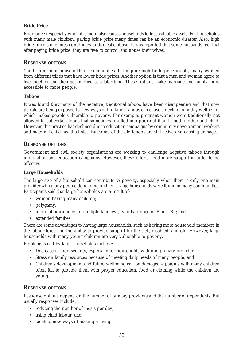### **Bride Price**

Bride price (especially when it is high) also causes households to lose valuable assets. For households with many male children, paying bride price many times can be an economic disaster. Also, high bride price sometimes contributes to domestic abuse. It was reported that some husbands feel that after paying bride price, they are free to control and abuse their wives.

### *RESPONSE OPTIONS*

Youth from poor households in communities that require high bride price usually marry women from different tribes that have lower bride prices. Another option is that a man and woman agree to live together and then get married at a later time. These options make marriage and family more accessible to more people.

#### **Taboos**

It was found that many of the negative, traditional taboos have been disappearing and that now people are being exposed to new ways of thinking. Taboos can cause a decline in bodily wellbeing, which makes people vulnerable to poverty. For example, pregnant women were traditionally not allowed to eat certain foods that sometimes resulted into poor nutrition in both mother and child. However, this practice has declined due to education campaigns by community development workers and maternal-child health clinics. But some of the old taboos are still active and causing damage.

### *RESPONSE OPTIONS*

Government and civil society organisations are working to challenge negative taboos through information and education campaigns. However, these efforts need more support in order to be effective.

### **Large Households**

The large size of a household can contribute to poverty, especially when there is only one main provider with many people depending on them. Large households were found in many communities. Participants said that large households are a result of:

- women having many children;
- polygamy;
- informal households of multiple families *(nyumba ndogo* or Block 'B'*);* and
- extended families.

There are some advantages to having large households, such as having more household members in the labour force and the ability to provide support for the sick, disabled, and old. However, large households with many young children are very vulnerable to poverty.

Problems faced by large households include:

- Decrease in food security, especially for households with one primary provider;
- Stress on family resources because of meeting daily needs of many people; and
- Children's development and future wellbeing can be damaged parents with many children often fail to provide them with proper education, food or clothing while the children are young.

### *RESPONSE OPTIONS*

Response options depend on the number of primary providers and the number of dependents. But usually responses include:

- reducing the number of meals per day;
- using child labour; and
- creating new ways of making a living.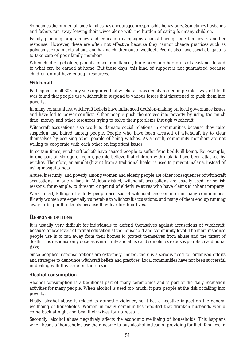Sometimes the burden of large families has encouraged irresponsible behaviours. Sometimes husbands and fathers run away leaving their wives alone with the burden of caring for many children.

Family planning programmes and education campaigns against having large families is another response. However, these are often not effective because they cannot change practices such as polygamy, extra-marital affairs, and having children out of wedlock. People also have social obligations to take care of poor family members.

When children get older, parents expect remittances, bride price or other forms of assistance to add to what can be earned at home. But these days, this kind of support is not guaranteed because children do not have enough resources.

### **Witchcraft**

Participants in all 30 study sites reported that witchcraft was deeply rooted in people's way of life. It was found that people use witchcraft to respond to various forces that threatened to push them into poverty.

In many communities, witchcraft beliefs have influenced decision-making on local governance issues and have led to power conflicts. Other people push themselves into poverty by using too much time, money and other resources trying to solve their problems through witchcraft.

Witchcraft accusations also work to damage social relations in communities because they raise suspicion and hatred among people. People who have been accused of witchcraft try to clear themselves by accusing other people of being witches. As a result, community members are not willing to cooperate with each other on important issues.

In certain times, witchcraft beliefs have caused people to suffer from bodily ill-being. For example, in one part of Morogoro region, people believe that children with malaria have been attacked by witches. Therefore, an amulet (*hiziri*) from a traditional healer is used to prevent malaria, instead of using mosquito nets.

Abuse, insecurity, and poverty among women and elderly people are other consequences of witchcraft accusations. In one village in Muleba district, witchcraft accusations are usually used for selfish reasons, for example, to threaten or get rid of elderly relatives who have claims to inherit property.

Worst of all, killings of elderly people accused of witchcraft are common in many communities. Elderly women are especially vulnerable to witchcraft accusations, and many of them end up running away to beg in the streets because they fear for their lives.

### *RESPONSE OPTIONS*

It is usually very difficult for individuals to defend themselves against accusations of witchcraft, because of low levels of formal education at the household and community level. The main response people use is to run away from their homes to protect themselves from abuse and the threat of death. This response only decreases insecurity and abuse and sometimes exposes people to additional risks.

Since people's response options are extremely limited, there is a serious need for organised efforts and strategies to denounce witchcraft beliefs and practices. Local communities have not been successful in dealing with this issue on their own.

### **Alcohol consumption**

Alcohol consumption is a traditional part of many ceremonies and is part of the daily recreation activities for many people. When alcohol is used too much, it puts people at the risk of falling into poverty.

Firstly, alcohol abuse is related to domestic violence, so it has a negative impact on the general wellbeing of households. Women in many communities reported that drunken husbands would come back at night and beat their wives for no reason.

Secondly, alcohol abuse negatively affects the economic wellbeing of households. This happens when heads of households use their income to buy alcohol instead of providing for their families. In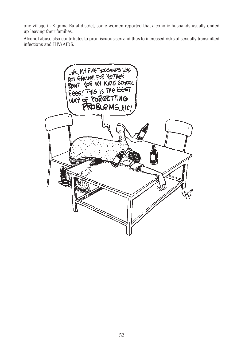one village in Kigoma Rural district, some women reported that alcoholic husbands usually ended up leaving their families.

Alcohol abuse also contributes to promiscuous sex and thus to increased risks of sexually transmitted infections and HIV/AIDS.

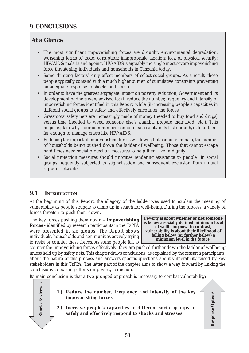## **At a Glance**

- The most significant impoverishing forces are drought; environmental degradation; worsening terms of trade; corruption; inappropriate taxation; lack of physical security; HIV/AIDS; malaria and ageing. HIV/AIDS is arguably the single most severe impoverishing force threatening individuals and households in Tanzania today.
- Some "limiting factors" only affect members of select social groups. As a result, these people typically contend with a much higher burden of cumulative constraints preventing an adequate response to shocks and stresses.
- In order to have the greatest aggregate impact on poverty reduction, Government and its development partners were advised to: (i) reduce the number, frequency and intensity of impoverishing forces identified in this Report, while (ii) increasing people's capacities in different social groups to safely and effectively encounter the forces.
- Grassroots' safety nets are increasingly made of money (needed to buy food and drugs) versus time (needed to weed someone else's shamba, prepare their food, etc.). This helps explain why poor communities cannot create safety nets fast enough/extend them far enough to manage crises like HIV/AIDS.
- Reducing the impact of impoverishing forces will lower, but cannot eliminate, the number of households being pushed down the ladder of wellbeing. Those that cannot escape hard times need social protection measures to help them live in dignity.
- Social protection measures should prioritise rendering assistance to people in social groups frequently subjected to stigmatisation and subsequent exclusion from mutual support networks.

## **9.1 INTRODUCTION**

At the beginning of this Report, the allegory of the ladder was used to explain the meaning of vulnerability as people struggle to climb up in search for well-being. During the process, a variety of forces threaten to push them down.

The key forces pushing them down – **impoverishing forces** - identified by research participants in the TzPPA were presented in six groups. The Report shows individuals, households and communities actively trying to resist or counter these forces. As some people fail to

*Poverty* **is about whether or not someone is below a socially defined minimum level of wellbeing** *now***. In contrast,** *vulnerability* **is about their likelihood of falling below (or further below) a minimum level** *in the future***.**

counter the impoverishing forces effectively, they are pushed further down the ladder of wellbeing unless held up by safety nets. This chapter draws conclusions, as explained by the research participants, about the nature of this process and answers specific questions about vulnerability raised by key stakeholders in this TzPPA. The latter part of the chapter aims to show a way forward by linking the conclusions to existing efforts on poverty reduction.

Its main conclusion is that a two pronged approach is necessary to combat vulnerability:

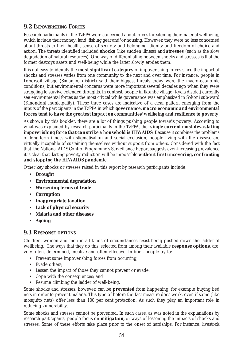## **9.2 IMPOVERISHING FORCES**

Research participants in the TzPPA were concerned about forces threatening their material wellbeing, which include their money, land, fishing gear and/or housing. However, they were no less concerned about threats to their health, sense of security and belonging, dignity and freedom of choice and action. The threats identified included *shocks* (like sudden illness) and *stresses* (such as the slow degradation of natural resources). One way of differentiating between shocks and stresses is that the former destroys assets and well-being while the latter slowly erodes them.

It is not easy to identify the *most significant category* of impoverishing forces since the impact of shocks and stresses varies from one community to the next and over time. For instance, people in Loborsoit village (Simanjiro district) said their biggest threats today were the macro-economic conditions; but environmental concerns were more important several decades ago when they were struggling to survive extended droughts. In contrast, people in Ikombe village (Kyela district) currently see environmental forces as the most critical while governance was emphasized in Sokoni sub-ward (Kinondoni municipality). These three cases are indicative of a clear pattern emerging from the inputs of the participants in the TzPPA in which *governance, macro economic and environmental forces tend to have the greatest impact on communities' wellbeing and resilience to poverty.*

As shown by this booklet, there are a lot of things pushing people towards poverty. According to what was explained by research participants in the TzPPA, the *single current most devastating impoverishing force that can strike a household is HIV/AIDS*. Because it combines the problems of long-term illness with stigmatisation and social exclusion, people living with the disease are virtually incapable of sustaining themselves without support from others. Considered with the fact that the National AIDS Control Programme's Surveillance Report suggests ever-increasing prevalence it is clear that lasting poverty reduction will be impossible *without first uncovering, confronting and stopping the HIV/AIDS pandemic*.

Other key shocks or stresses raised in this report by research participants include:

- **Drought**
- **Environmental degradation**
- **Worsening terms of trade**
- **Corruption**
- **Inappropriate taxation**
- **Lack of physical security**
- **Malaria and other diseases**
- **Ageing**

### *9.3 RESPONSE OPTIONS*

Children, women and men in all kinds of circumstances resist being pushed down the ladder of wellbeing. The ways that they do this, selected from among their available **response options**, are, very often, determined, creative and often effective. In brief, people try to:

- Prevent some impoverishing forces from occurring;
- Evade others:
- Lessen the impact of those they cannot prevent or evade;
- Cope with the consequences; and
- Resume climbing the ladder of well-being.

Some shocks and stresses, however, can be *prevented* from happening, for example buying bed nets in order to prevent malaria. This type of before-the-fact measure does work, even if some (like mosquito nets) offer less than 100 per cent protection. As such they play an important role in reducing vulnerability.

Some shocks and stresses cannot be prevented. In such cases, as was noted in the explanations by research participants, people focus on *mitigation***,** or ways of lessening the impacts of shocks and stresses. Some of these efforts take place prior to the onset of hardships. For instance, livestock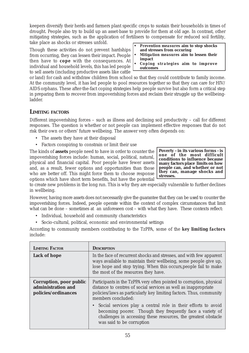keepers diversify their herds and farmers plant specific crops to sustain their households in times of drought. People also try to build up an asset-base to provide for them at old age. In contrast, other mitigating strategies, such as the application of fertilisers to compensate for reduced soil fertility, take place as shocks or stresses unfold.

Though these activities do not prevent hardships from occurring, they can lessen their impact. People then have to *cope* with the consequences. At individual and household levels, this has led people to sell assets (including productive assets like cattle

- **•** *Prevention measures* **aim to stop shocks and stresses from occuring**
- **•** *Mitigation measures* **aim to lessen their impact**
- **•** *Coping strategies* **aim to improve outcomes**

or land) for cash and withdraw children from school so that they could contribute to family income. At the community level, it has led people to pool resources together so that they can care for HIV/ AIDS orphans. These after-the-fact coping strategies help people survive but also form a critical step in preparing them to recover from impoverishing forces and reclaim their struggle up the wellbeingladder.

### **LIMITING FACTORS**

Different impoverishing forces – such as illness and declining soil productivity – call for different responses. The question is whether or not people *can* implement effective responses that do not risk their own or others' future wellbeing. The answer very often depends on:

- The assets they have at their disposal
- Factors conspiring to constrain or limit their use

The kinds of **assets** people need to have in order to counter the impoverishing forces include: human, social, political, natural, physical and financial capital. Poor people have fewer assets and, as a result, fewer options and opportunities than those who are better off. This might force them to choose response options which have short term benefits, but have the potential

**Poverty - in its various forms - is one of the most difficult conditions to influence because many factors place limits on how people can, and whether or not they can, manage shocks and stresses.**

to create new problems in the long run. This is why they are especially vulnerable to further declines in wellbeing.

However, having more assets does not necessarily give the guarantee that they can be *used* to counter the impoverishing forces. Indeed, people operate within the context of complex circumstances that limit what can be done – sometimes at an unforeseen cost – with what they have. These contexts reflect:

- Individual, household and community characteristics
- Socio-cultural, political, economic and environmental settings

According to community members contributing to the TzPPA, some of the *key limiting factors* include:

| <b>LIMITING FACTOR</b>                                                      | <b>DESCRIPTION</b>                                                                                                                                                                                                                                  |
|-----------------------------------------------------------------------------|-----------------------------------------------------------------------------------------------------------------------------------------------------------------------------------------------------------------------------------------------------|
| <b>Lack of hope</b>                                                         | In the face of recurrent shocks and stresses, and with few apparent<br>ways available to maintain their wellbeing, some people give up,<br>lose hope and stop trying. When this occurs, people fail to make<br>the most of the resources they have. |
| <b>Corruption, poor public</b><br>administration and<br>policies/ordinances | Participants in the TzPPA very often pointed to corruption, physical<br>distance to centres of social services as well as inappropriate<br>policies/laws as particularly key limiting factors. Thus, community<br>members concluded:                |
|                                                                             | • Social services play a central role in their efforts to avoid<br>becoming poorer. Though they frequently face a variety of<br>challenges in accessing these resources, the greatest obstacle<br>was said to be <i>corruption</i>                  |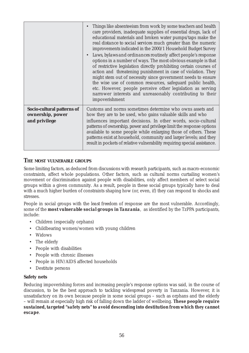|                                                                 | Things like absenteeism from work by some teachers and health<br>care providers, inadequate supplies of essential drugs, lack of<br>educational materials and broken water pumps/taps make the<br>real distance to social services much greater than the numeric<br>improvements indicated in the 2000/1 Household Budget Survey<br>Laws, bylaws and ordinances routinely affect people's response<br>options in a number of ways. The most obvious example is that<br>of restrictive legislation directly prohibiting certain courses of<br>action and threatening punishment in case of violation. They<br>might stem out of necessity since government needs to ensure<br>the wise use of common resources, safeguard public health,<br>etc. However, people perceive other legislation as serving<br>narrower interests and unreasonably contributing to their<br>impoverishment |
|-----------------------------------------------------------------|--------------------------------------------------------------------------------------------------------------------------------------------------------------------------------------------------------------------------------------------------------------------------------------------------------------------------------------------------------------------------------------------------------------------------------------------------------------------------------------------------------------------------------------------------------------------------------------------------------------------------------------------------------------------------------------------------------------------------------------------------------------------------------------------------------------------------------------------------------------------------------------|
| Socio-cultural patterns of<br>ownership, power<br>and privilege | Customs and norms sometimes determine who owns assets and<br>how they are to be used, who gains valuable skills and who<br>influences important decisions. In other words, socio-cultural<br>patterns of <i>ownership</i> , <i>power</i> and <i>privilege</i> limit the response options<br>available to some people while enlarging those of others. These<br>patterns exist at household, community and larger levels; and they<br>result in pockets of relative vulnerability requiring special assistance.                                                                                                                                                                                                                                                                                                                                                                       |

### **THE MOST VULNERABLE GROUPS**

Some limiting factors, as deduced from discussions with research participants, such as macro-economic constraints, affect whole populations. Other factors, such as cultural norms curtailing women's movement or discrimination against people with disabilities, only affect members of select social groups within a given community. As a result, people in these social groups typically have to deal with a much higher burden of constraints shaping how (or, even, *if*) they can respond to shocks and stresses.

People in social groups with the *least freedom* of response are the most vulnerable. Accordingly, some of the *most vulnerable social groups in Tanzania*, as identified by the TzPPA participants, include:

- Children (especially orphans)
- Childbearing women/women with young children
- Widows
- The elderly
- People with disabilities
- People with chronic illnesses
- People in HIV/AIDS affected households
- Destitute persons

### **Safety nets**

Reducing impoverishing forces and increasing people's response options was said, in the course of discussion, to be the best approach to tackling widespread poverty in Tanzania. However, it is unsatisfactory on its own because people in some social groups – such as orphans and the elderly – will remain at especially high risk of falling down the ladder of wellbeing. *These people require*

### *sustained, targeted "safety nets" to avoid descending into destitution from which they cannot escape*.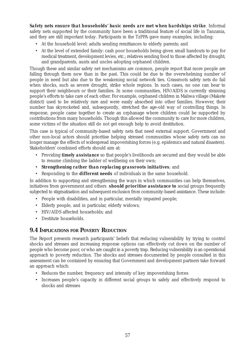*Safety nets ensure that households' basic needs are met when hardships strike*. Informal safety nets supported by the community have been a traditional feature of social life in Tanzania, and they are still important today. Participants in the TzPPA gave many examples, including:

- At the household level: adults sending remittances to elderly parents; and
- At the level of extended family: cash poor households being given small handouts to pay for medical treatment, development levies, etc.; relatives sending food to those affected by drought; and grandparents, aunts and uncles adopting orphaned children.

Though these and similar safety net mechanisms are common, people report that more people are falling through them now than in the past. This could be due to the overwhelming number of people in need but also due to the weakening social network ties. Grassroots safety nets do fail when shocks, such as severe drought, strike whole regions. In such cases, no one can bear to support their neighbours or their families. In some communities, HIV/AIDS is currently straining people's efforts to take care of each other. For example, orphaned children in Maliwa village (Makete district) used to be relatively rare and were easily absorbed into other families. However, their number has skyrocketed and, subsequently, stretched the age-old way of controlling things. In response, people came together to create an orphanage where children could be supported by contributions from many households. Though this allowed the community to care for more children, some victims of the situation still do not get enough help to avoid destitution.

This case is typical of community-based safety nets that need external support. Government and other non-local actors should prioritise helping stressed communities whose safety nets can no longer manage the effects of widespread impoverishing forces (e.g. epidemics and natural disasters). Stakeholders' combined efforts should aim at:

- Providing *timely assistance* so that people's livelihoods are secured and they would be able to resume climbing the ladder of wellbeing on their own;
- *Strengthening rather than replacing grassroots initiatives*; and
- Responding to the *different needs* of individuals in the same household.

In addition to supporting and strengthening the ways in which communities can help themselves, initiatives from government and others *should prioritise assistance to* social groups frequently subjected to stigmatisation and subsequent exclusion from community-based assistance. These include:

- People with disabilities, and in particular, mentally impaired people;
- Elderly people, and in particular, elderly widows;
- HIV/AIDS affected households; and
- Destitute households.

### **9.4 IMPLICATIONS FOR POVERTY REDUCTION**

The Report presents research participants' beliefs that reducing vulnerability by trying to control shocks and stresses and increasing response options can effectively cut down on the number of people who become poor, or who are caught in a poverty trap. Reducing vulnerability is an operational approach to poverty reduction. The shocks and stresses documented by people consulted in this assessment can be contained by ensuring that Government and development partners take forward an approach which:

- Reduces the number, frequency and intensity of key impoverishing forces
- Increases people's capacity in different social groups to safely and effectively respond to shocks and stresses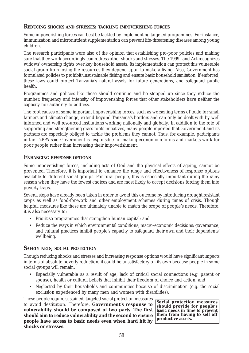### **REDUCING SHOCKS AND STRESSES: TACKLING IMPOVERISHING FORCES**

Some impoverishing forces can best be tackled by implementing targeted programmes. For instance, immunization and micronutrient supplementation can prevent life-threatening diseases among young children.

The research participants were also of the opinion that establishing pro-poor policies and making sure that they work accordingly can redress other shocks and stresses. The 1999 Land Act recognizes widows' ownership rights over key household assets. Its implementation can protect this vulnerable social group from losing the resources they depend upon to make a living. Also, Government has formulated policies to prohibit unsustainable fishing and ensure basic household sanitation. If enforced, these laws could protect Tanzania's natural assets for future generations, and safeguard public health.

Programmes and policies like these should continue and be stepped up since they reduce the number, frequency and intensity of impoverishing forces that other stakeholders have neither the capacity nor authority to address.

The root causes of some important impoverishing forces, such as worsening terms of trade for small farmers and climate change, extend beyond Tanzania's borders and can only be dealt with by well informed and well resourced institutions working nationally and globally. In addition to the role of supporting and strengthening grass roots initiatives, many people reported that Government and its partners are especially obliged to tackle the problems they cannot. Thus, for example, participants in the TzPPA said Government is responsible for making economic reforms and markets work for poor people rather than increasing their impoverishment.

### **ENHANCING RESPONSE OPTIONS**

Some impoverishing forces, including acts of God and the physical effects of ageing, cannot be prevented. Therefore, it is important to enhance the range and effectiveness of response options available to different social groups. For rural people, this is especially important during the rainy season when they have the fewest choices and are most likely to accept decisions forcing them into poverty traps.

Several steps have already been taken in order to avoid this outcome by introducing drought resistant crops as well as food-for-work and other employment schemes during times of crisis. Though helpful, measures like these are ultimately unable to match the scope of people's needs. Therefore, it is *also* necessary to:

- Prioritise programmes that strengthen human capital; and
- Reduce the ways in which environmental conditions; macro-economic decisions; governance; and cultural practices inhibit people's capacity to safeguard their own and their dependents' wellbeing.

### **SAFETY NETS, SOCIAL PROTECTION**

Though reducing shocks and stresses and increasing response options would have significant impacts in terms of absolute poverty reduction, it could be unsatisfactory on its own because people in some social groups will remain:

- Especially vulnerable as a result of age, lack of critical social connections (e.g. parent or spouse), health or cultural beliefs that inhibit their freedom of choice and action; and
- Neglected by their households and communities because of discrimination (e.g. the social exclusion experienced by many men and women with disabilities).

These people require sustained, targeted social protection measures

to avoid destitution. Therefore, **Government's response to vulnerability should be composed of two parts. The first should aim to reduce vulnerability and the second to ensure people have access to basic needs even when hard hit by shocks or stresses.**

**Social protection measures should provide for people's basic needs in time to prevent them from having to sell off productive assets.**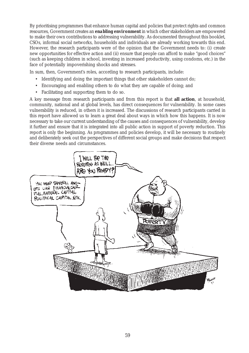By prioritising programmes that enhance human capital and policies that protect rights and common resources, Government creates an *enabling environment* in which other stakeholders are empowered to make their own contributions to addressing vulnerability. As documented throughout this booklet, CSOs, informal social networks, households and individuals are already working towards this end. However, the research participants were of the opinion that the Government needs to: (i) create new opportunities for effective action and (ii) ensure that people can afford to make "good choices" (such as keeping children in school, investing in increased productivity, using condoms, etc.) in the face of potentially impoverishing shocks and stresses.

In sum, then, Government's roles, according to research participants, include:

- Identifying and doing the important things that other stakeholders cannot do;
- Encouraging and enabling others to do what they are capable of doing; and
- Facilitating and supporting them to do so.

A key message from research participants and from this report is that **all action**, at household, community, national and at global levels, has direct consequences for vulnerability. In some cases vulnerability is reduced, in others it is increased. The discussions of research participants carried in this report have allowed us to learn a great deal about ways in which how this happens. It is now necessary to take our current understanding of the causes and consequences of vulnerability, develop it further and ensure that it is integrated into all public action in support of poverty reduction. This report is only the beginning. As programmes and policies develop, it will be necessary to routinely and deliberately seek out the perspectives of different social groups and make decisions that respect their diverse needs and circumstances.

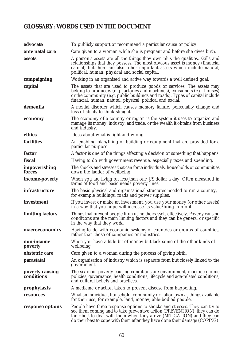# **GLOSSARY: WORDS USED IN THE DOCUMENT**

| advocate                      | To publicly support or recommend a particular cause or policy.                                                                                                                                                                                                                                                  |
|-------------------------------|-----------------------------------------------------------------------------------------------------------------------------------------------------------------------------------------------------------------------------------------------------------------------------------------------------------------|
| ante natal care               | Care given to a woman while she is pregnant and before she gives birth.                                                                                                                                                                                                                                         |
| assets                        | A person's assets are all the things they own plus the qualities, skills and<br>relationships that they possess. The most obvious asset is money (financial<br>capital) but there are also other important assets which include natural,<br>political, human, physical and social capital.                      |
| campaigning                   | Working in an organised and active way towards a well defined goal.                                                                                                                                                                                                                                             |
| capital                       | The assets that are used to produce goods or services. The assets may<br>belong to producers (e.g. factories and machines), consumers (e.g. houses)<br>or the community (e.g. public buildings and roads). Types of capital include<br>financial, human, natural, physical, political and social.               |
| dementia                      | A mental disorder which causes memory failure, personality change and<br>loss of ability to think straight.                                                                                                                                                                                                     |
| economy                       | The economy of a country or region is the system it uses to organize and<br>manage its money, industry, and trade, or the wealth it obtains from business<br>and industry.                                                                                                                                      |
| ethics                        | Ideas about what is right and wrong.                                                                                                                                                                                                                                                                            |
| <b>facilities</b>             | An enabling plan/thing or building or equipment that are provided for a<br>particular purpose.                                                                                                                                                                                                                  |
| factor                        | A factor is one of the things affecting a decision or something that happens.                                                                                                                                                                                                                                   |
| fiscal                        | Having to do with government revenue, especially taxes and spending.                                                                                                                                                                                                                                            |
| impoverishing<br>forces       | The shocks and stresses that can force individuals, households or communities<br>down the ladder of wellbeing.                                                                                                                                                                                                  |
| income-poverty                | When you are living on less than one US dollar a day. Often measured in<br>terms of food and basic needs poverty lines.                                                                                                                                                                                         |
| infrastructure                | The basic physical and organisational structures needed to run a country,<br>for example buildings, roads and power supplies.                                                                                                                                                                                   |
| investment                    | If you invest or make an investment, you use your money (or other assets)<br>in a way that you hope will increase its value/bring in profit.                                                                                                                                                                    |
| limiting factors              | Things that prevent people from using their assets effectively. Poverty causing<br>conditions are the main limiting factors and they can be general or specific<br>in the way that they work.                                                                                                                   |
| macroeconomics                | Having to do with economic systems of countries or groups of countries,<br>rather than those of companies or industries.                                                                                                                                                                                        |
| non-income<br>poverty         | When you have a little bit of money but lack some of the other kinds of<br>wellbeing.                                                                                                                                                                                                                           |
| obstetric care                | Care given to a woman during the process of giving birth.                                                                                                                                                                                                                                                       |
| <i>parastatal</i>             | An organisation of industry which is separate from but closely linked to the<br>government.                                                                                                                                                                                                                     |
| poverty causing<br>conditions | The six main poverty causing conditions are environment, macroeconomic<br>policies, governance, health conditions, lifecycle and age-related conditions,<br>and cultural beliefs and practices.                                                                                                                 |
| prophylaxis                   | A medicine or action taken to prevent disease from happening.                                                                                                                                                                                                                                                   |
| resources                     | What an individual, household, community or nation own as things available<br>for their use, for example, land, money, able-bodied people.                                                                                                                                                                      |
| response options              | People have three response options to shocks and stresses. They can try to<br>see them coming and to take preventive action (PREVENTION), they can do<br>their best to deal with them when they arrive (MITIGATION) and they can<br>do their best to cope with them after they have done their damage (COPING). |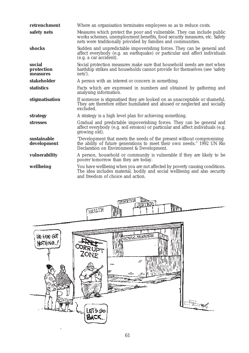| retrenchment                     | Where an organisation terminates employees so as to reduce costs.                                                                                                                                                     |
|----------------------------------|-----------------------------------------------------------------------------------------------------------------------------------------------------------------------------------------------------------------------|
| safety nets                      | Measures which protect the poor and vulnerable. They can include public<br>works schemes, unemployment benefits, food security measures, etc. Safety<br>nets were traditionally provided by families and communities. |
| shocks                           | Sudden and unpredictable impoverishing forces. They can be general and<br>affect everybody (e.g. an earthquake) or particular and affect individuals<br>(e.g. a car accident).                                        |
| social<br>protection<br>measures | Social protection measures make sure that household needs are met when<br>hardship strikes and households cannot provide for themselves (see 'safety<br>nets').                                                       |
| stakeholder                      | A person with an interest or concern in something.                                                                                                                                                                    |
| <b>statistics</b>                | Facts which are expressed in numbers and obtained by gathering and<br>analysing information.                                                                                                                          |
| stigmatisation                   | If someone is stigmatised they are looked on as unacceptable or shameful.<br>They are therefore either humiliated and abused or neglected and socially<br>excluded.                                                   |
| strategy                         | A strategy is a high level plan for achieving something.                                                                                                                                                              |
| <b>stresses</b>                  | Gradual and predictable impoverishing forces. They can be general and<br>affect everybody (e.g. soil erosion) or particular and affect individuals (e.g.<br>growing old).                                             |
| sustainable<br>development       | "Development that meets the needs of the present without compromising<br>the ability of future generations to meet their own needs." 1992 UN Rio<br>Declaration on Environment & Development.                         |
| vulnerability                    | A person, household or community is vulnerable if they are likely to be<br>poorer tomorrow than they are today.                                                                                                       |
| wellbeing                        | You have wellbeing when you are not affected by poverty causing conditions.<br>The idea includes material, bodily and social wellbeing and also security<br>and freedom of choice and action.                         |

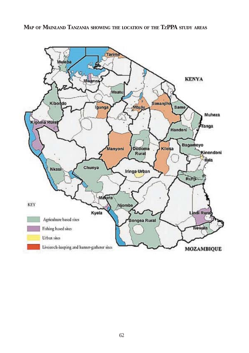**MAP OF MAINLAND TANZANIA SHOWING THE LOCATION OF THE TZPPA STUDY AREAS**

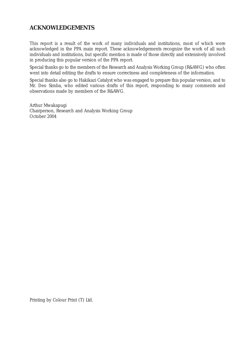## **ACKNOWLEDGEMENTS**

This report is a result of the work of many individuals and institutions, most of which were acknowledged in the PPA main report. These acknowledgements recognize the work of all such individuals and institutions, but specific mention is made of those directly and extensively involved in producing this popular version of the PPA report.

Special thanks go to the members of the Research and Analysis Working Group (R&AWG) who often went into detail editing the drafts to ensure correctness and completeness of the information.

Special thanks also go to Hakikazi Catalyst who was engaged to prepare this popular version, and to Mr. Deo Simba, who edited various drafts of this report, responding to many comments and observations made by members of the R&AWG.

Arthur Mwakapugi Chairperson, Research and Analysis Working Group October 2004

Printing by Colour Print (T) Ltd.